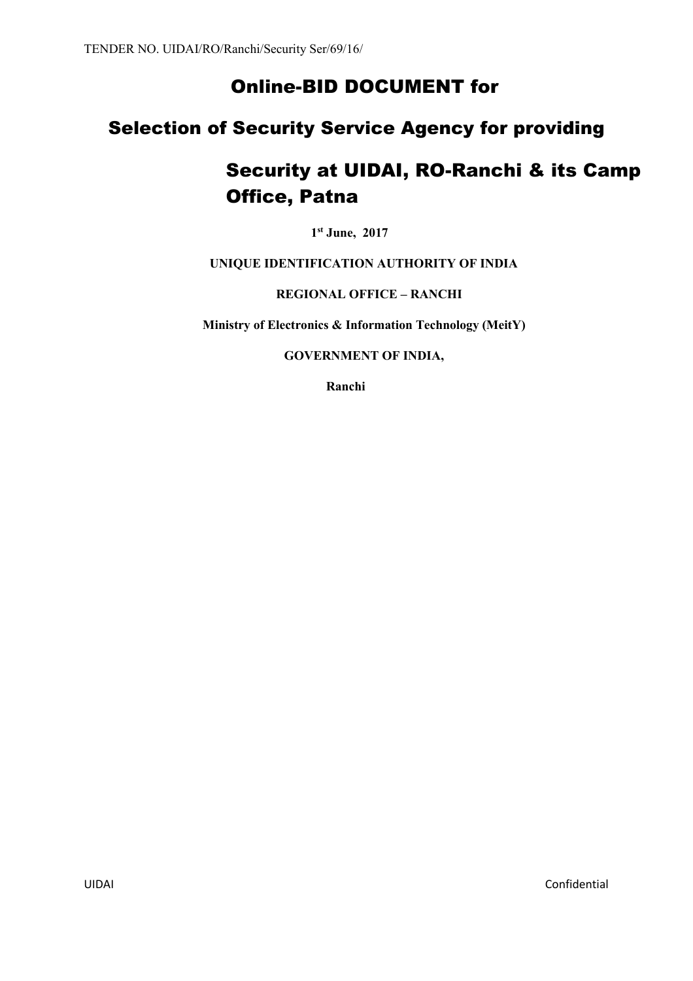# Online-BID DOCUMENT for

# Selection of Security Service Agency for providing

# Security at UIDAI, RO-Ranchi & its Camp Office, Patna

**1 st June, 2017**

**UNIQUE IDENTIFICATION AUTHORITY OF INDIA**

**REGIONAL OFFICE – RANCHI**

**Ministry of Electronics & Information Technology (MeitY)**

**GOVERNMENT OF INDIA,**

**Ranchi**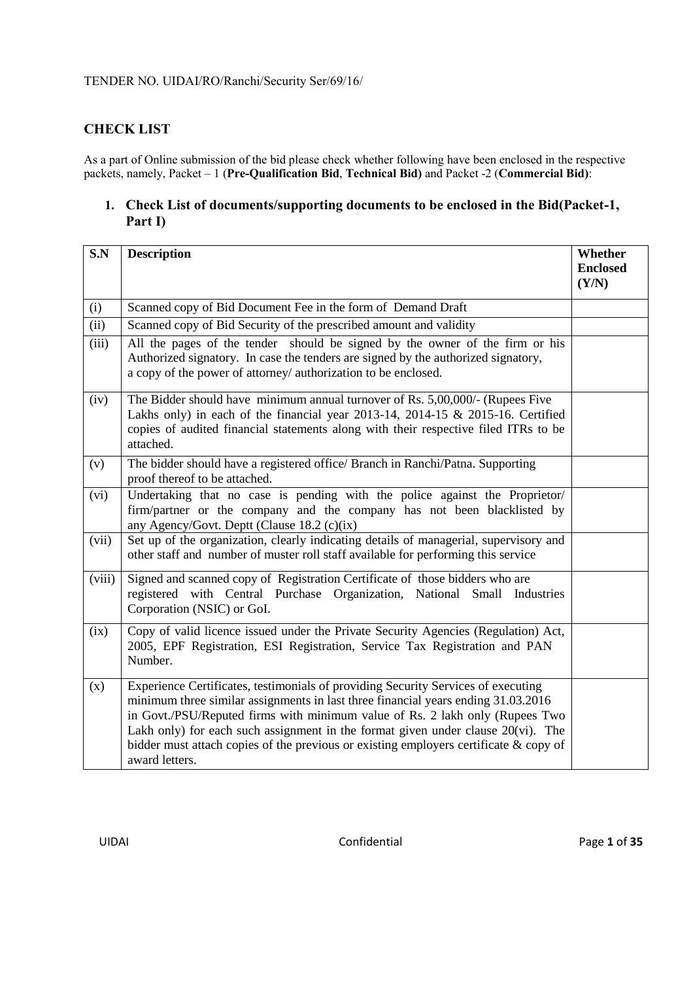# **CHECK LIST**

As a part of Online submission of the bid please check whether following have been enclosed in the respective packets, namely, Packet – 1 (**Pre-Qualification Bid**, **Technical Bid)** and Packet -2 (**Commercial Bid)**:

# **1. Check List of documents/supporting documents to be enclosed in the Bid(Packet-1, Part I)**

| S.N    | <b>Description</b>                                                                                                                                                                                                                                                                                                                                                                                                                                          | Whether<br><b>Enclosed</b><br>(Y/N) |
|--------|-------------------------------------------------------------------------------------------------------------------------------------------------------------------------------------------------------------------------------------------------------------------------------------------------------------------------------------------------------------------------------------------------------------------------------------------------------------|-------------------------------------|
| (i)    | Scanned copy of Bid Document Fee in the form of Demand Draft                                                                                                                                                                                                                                                                                                                                                                                                |                                     |
| (ii)   | Scanned copy of Bid Security of the prescribed amount and validity                                                                                                                                                                                                                                                                                                                                                                                          |                                     |
| (iii)  | All the pages of the tender should be signed by the owner of the firm or his<br>Authorized signatory. In case the tenders are signed by the authorized signatory,<br>a copy of the power of attorney/ authorization to be enclosed.                                                                                                                                                                                                                         |                                     |
| (iv)   | The Bidder should have minimum annual turnover of Rs. 5,00,000/- (Rupees Five<br>Lakhs only) in each of the financial year 2013-14, 2014-15 & 2015-16. Certified<br>copies of audited financial statements along with their respective filed ITRs to be<br>attached.                                                                                                                                                                                        |                                     |
| (v)    | The bidder should have a registered office/ Branch in Ranchi/Patna. Supporting<br>proof thereof to be attached.                                                                                                                                                                                                                                                                                                                                             |                                     |
| (vi)   | Undertaking that no case is pending with the police against the Proprietor/<br>firm/partner or the company and the company has not been blacklisted by<br>any Agency/Govt. Deptt (Clause 18.2 (c)(ix)                                                                                                                                                                                                                                                       |                                     |
| (vii)  | Set up of the organization, clearly indicating details of managerial, supervisory and<br>other staff and number of muster roll staff available for performing this service                                                                                                                                                                                                                                                                                  |                                     |
| (viii) | Signed and scanned copy of Registration Certificate of those bidders who are<br>registered with Central Purchase Organization, National Small Industries<br>Corporation (NSIC) or GoI.                                                                                                                                                                                                                                                                      |                                     |
| (ix)   | Copy of valid licence issued under the Private Security Agencies (Regulation) Act,<br>2005, EPF Registration, ESI Registration, Service Tax Registration and PAN<br>Number.                                                                                                                                                                                                                                                                                 |                                     |
| (x)    | Experience Certificates, testimonials of providing Security Services of executing<br>minimum three similar assignments in last three financial years ending 31.03.2016<br>in Govt./PSU/Reputed firms with minimum value of Rs. 2 lakh only (Rupees Two<br>Lakh only) for each such assignment in the format given under clause $20(vi)$ . The<br>bidder must attach copies of the previous or existing employers certificate $\&$ copy of<br>award letters. |                                     |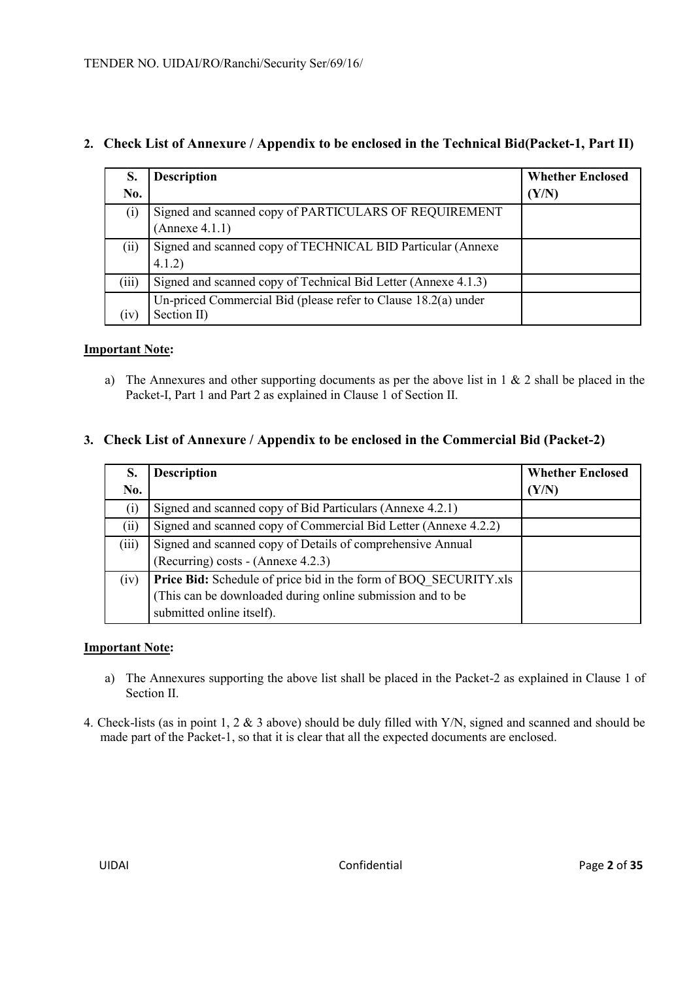| S.<br>No. | <b>Description</b>                                                              | <b>Whether Enclosed</b><br>(Y/N) |
|-----------|---------------------------------------------------------------------------------|----------------------------------|
| (i)       | Signed and scanned copy of PARTICULARS OF REQUIREMENT<br>(Annexe 4.1.1)         |                                  |
| (ii)      | Signed and scanned copy of TECHNICAL BID Particular (Annexe<br>4.1.2)           |                                  |
| (iii)     | Signed and scanned copy of Technical Bid Letter (Annexe 4.1.3)                  |                                  |
| (1V)      | Un-priced Commercial Bid (please refer to Clause $18.2(a)$ under<br>Section II) |                                  |

# **2. Check List of Annexure / Appendix to be enclosed in the Technical Bid(Packet-1, Part II)**

# **Important Note:**

a) The Annexures and other supporting documents as per the above list in 1 & 2 shall be placed in the Packet-I, Part 1 and Part 2 as explained in Clause 1 of Section II.

# **3. Check List of Annexure / Appendix to be enclosed in the Commercial Bid (Packet-2)**

| S.<br>No.         | <b>Description</b>                                                      | <b>Whether Enclosed</b><br>(Y/N) |
|-------------------|-------------------------------------------------------------------------|----------------------------------|
|                   |                                                                         |                                  |
| $\left( 1\right)$ | Signed and scanned copy of Bid Particulars (Annexe 4.2.1)               |                                  |
| (ii)              | Signed and scanned copy of Commercial Bid Letter (Annexe 4.2.2)         |                                  |
| (iii)             | Signed and scanned copy of Details of comprehensive Annual              |                                  |
|                   | (Recurring) costs - (Annexe 4.2.3)                                      |                                  |
| (iv)              | <b>Price Bid:</b> Schedule of price bid in the form of BOQ_SECURITY.xls |                                  |
|                   | (This can be downloaded during online submission and to be              |                                  |
|                   | submitted online itself).                                               |                                  |

#### **Important Note:**

- a) The Annexures supporting the above list shall be placed in the Packet-2 as explained in Clause 1 of Section II.
- 4. Check-lists (as in point 1, 2 & 3 above) should be duly filled with Y/N, signed and scanned and should be made part of the Packet-1, so that it is clear that all the expected documents are enclosed.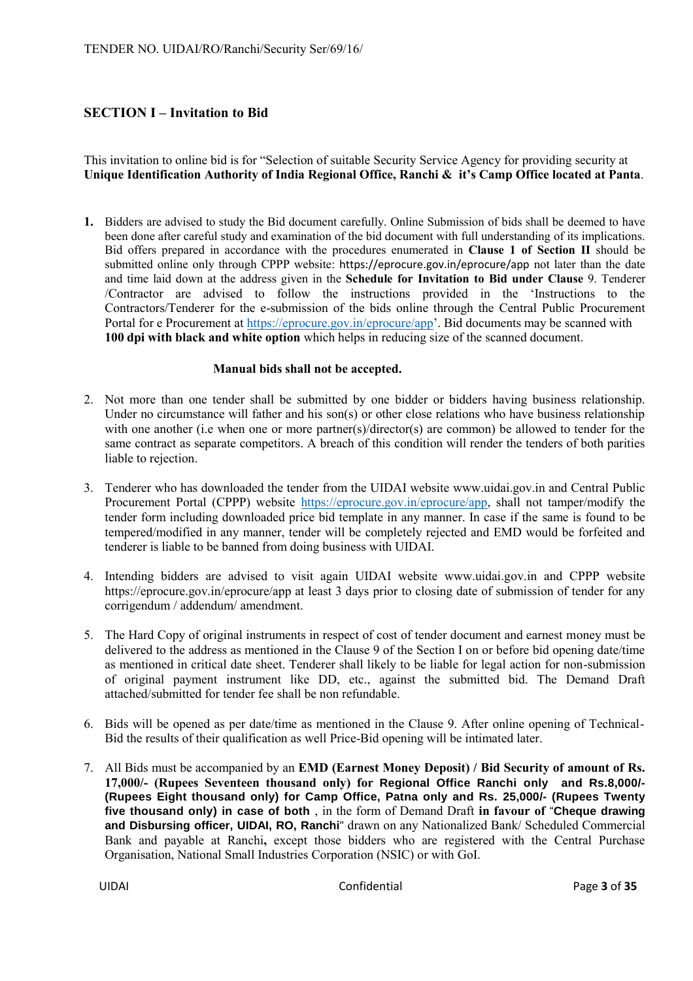# **SECTION I – Invitation to Bid**

This invitation to online bid is for "Selection of suitable Security Service Agency for providing security at **Unique Identification Authority of India Regional Office, Ranchi & it's Camp Office located at Panta**.

**1.** Bidders are advised to study the Bid document carefully. Online Submission of bids shall be deemed to have been done after careful study and examination of the bid document with full understanding of its implications. Bid offers prepared in accordance with the procedures enumerated in **Clause 1 of Section II** should be submitted online only through CPPP website: https://eprocure.gov.in/eprocure/app not later than the date and time laid down at the address given in the **Schedule for Invitation to Bid under Clause** 9. Tenderer /Contractor are advised to follow the instructions provided in the 'Instructions to the Contractors/Tenderer for the e-submission of the bids online through the Central Public Procurement Portal for e Procurement at https://eprocure.gov.in/eprocure/app'. Bid documents may be scanned with **100 dpi with black and white option** which helps in reducing size of the scanned document.

#### **Manual bids shall not be accepted.**

- 2. Not more than one tender shall be submitted by one bidder or bidders having business relationship. Under no circumstance will father and his son(s) or other close relations who have business relationship with one another (i.e when one or more partner(s)/director(s) are common) be allowed to tender for the same contract as separate competitors. A breach of this condition will render the tenders of both parities liable to rejection.
- 3. Tenderer who has downloaded the tender from the UIDAI website www.uidai.gov.in and Central Public Procurement Portal (CPPP) website https://eprocure.gov.in/eprocure/app, shall not tamper/modify the tender form including downloaded price bid template in any manner. In case if the same is found to be tempered/modified in any manner, tender will be completely rejected and EMD would be forfeited and tenderer is liable to be banned from doing business with UIDAI.
- 4. Intending bidders are advised to visit again UIDAI website www.uidai.gov.in and CPPP website https://eprocure.gov.in/eprocure/app at least 3 days prior to closing date of submission of tender for any corrigendum / addendum/ amendment.
- 5. The Hard Copy of original instruments in respect of cost of tender document and earnest money must be delivered to the address as mentioned in the Clause 9 of the Section I on or before bid opening date/time as mentioned in critical date sheet. Tenderer shall likely to be liable for legal action for non-submission of original payment instrument like DD, etc., against the submitted bid. The Demand Draft attached/submitted for tender fee shall be non refundable.
- 6. Bids will be opened as per date/time as mentioned in the Clause 9. After online opening of Technical-Bid the results of their qualification as well Price-Bid opening will be intimated later.
- 7. All Bids must be accompanied by an **EMD (Earnest Money Deposit) / Bid Security of amount of Rs. 17,000/- (Rupees Seventeen thousand only) for Regional Office Ranchi only and Rs.8,000/- (Rupees Eight thousand only) for Camp Office, Patna only and Rs. 25,000/- (Rupees Twenty five thousand only) in case of both** , in the form of Demand Draft **in favour of** "**Cheque drawing and Disbursing officer, UIDAI, RO, Ranchi**" drawn on any Nationalized Bank/ Scheduled Commercial Bank and payable at Ranchi**,** except those bidders who are registered with the Central Purchase Organisation, National Small Industries Corporation (NSIC) or with GoI.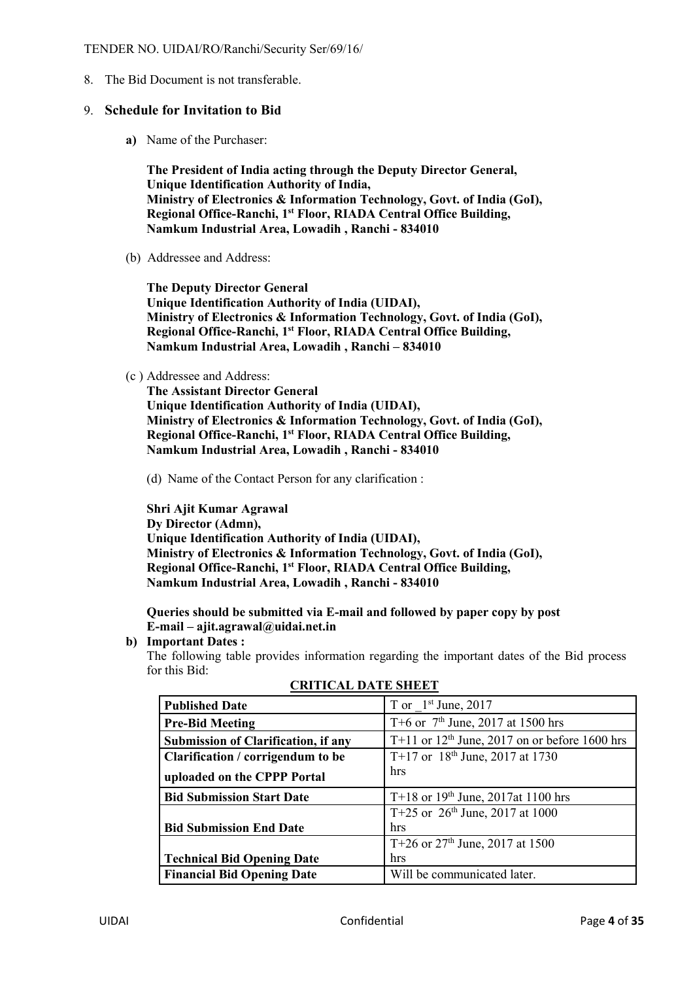8. The Bid Document is not transferable.

#### 9. **Schedule for Invitation to Bid**

**a)** Name of the Purchaser:

**The President of India acting through the Deputy Director General, Unique Identification Authority of India, Ministry of Electronics & Information Technology, Govt. of India (GoI), Regional Office-Ranchi, 1 st Floor, RIADA Central Office Building, Namkum Industrial Area, Lowadih , Ranchi - 834010**

(b) Addressee and Address:

**The Deputy Director General Unique Identification Authority of India (UIDAI), Ministry of Electronics & Information Technology, Govt. of India (GoI), Regional Office-Ranchi, 1st Floor, RIADA Central Office Building, Namkum Industrial Area, Lowadih , Ranchi – 834010** 

(c ) Addressee and Address:

**The Assistant Director General Unique Identification Authority of India (UIDAI), Ministry of Electronics & Information Technology, Govt. of India (GoI), Regional Office-Ranchi, 1st Floor, RIADA Central Office Building, Namkum Industrial Area, Lowadih , Ranchi - 834010** 

(d) Name of the Contact Person for any clarification :

**Shri Ajit Kumar Agrawal Dy Director (Admn), Unique Identification Authority of India (UIDAI), Ministry of Electronics & Information Technology, Govt. of India (GoI), Regional Office-Ranchi, 1st Floor, RIADA Central Office Building, Namkum Industrial Area, Lowadih , Ranchi - 834010** 

**Queries should be submitted via E-mail and followed by paper copy by post E-mail – ajit.agrawal@uidai.net.in**

**b) Important Dates :** 

The following table provides information regarding the important dates of the Bid process for this Bid:

| <b>Published Date</b>                      | T or $1st$ June, 2017                           |
|--------------------------------------------|-------------------------------------------------|
| <b>Pre-Bid Meeting</b>                     | T+6 or $7th$ June, 2017 at 1500 hrs             |
| <b>Submission of Clarification, if any</b> | T+11 or $12th$ June, 2017 on or before 1600 hrs |
| Clarification / corrigendum to be          | T+17 or $18^{th}$ June, 2017 at 1730            |
| uploaded on the CPPP Portal                | hrs                                             |
| <b>Bid Submission Start Date</b>           | T+18 or $19th$ June, 2017at 1100 hrs            |
|                                            | T+25 or $26th$ June, 2017 at 1000               |
| <b>Bid Submission End Date</b>             | hrs                                             |
|                                            | T+26 or $27th$ June, 2017 at 1500               |
| <b>Technical Bid Opening Date</b>          | hrs                                             |
| <b>Financial Bid Opening Date</b>          | Will be communicated later.                     |

**CRITICAL DATE SHEET**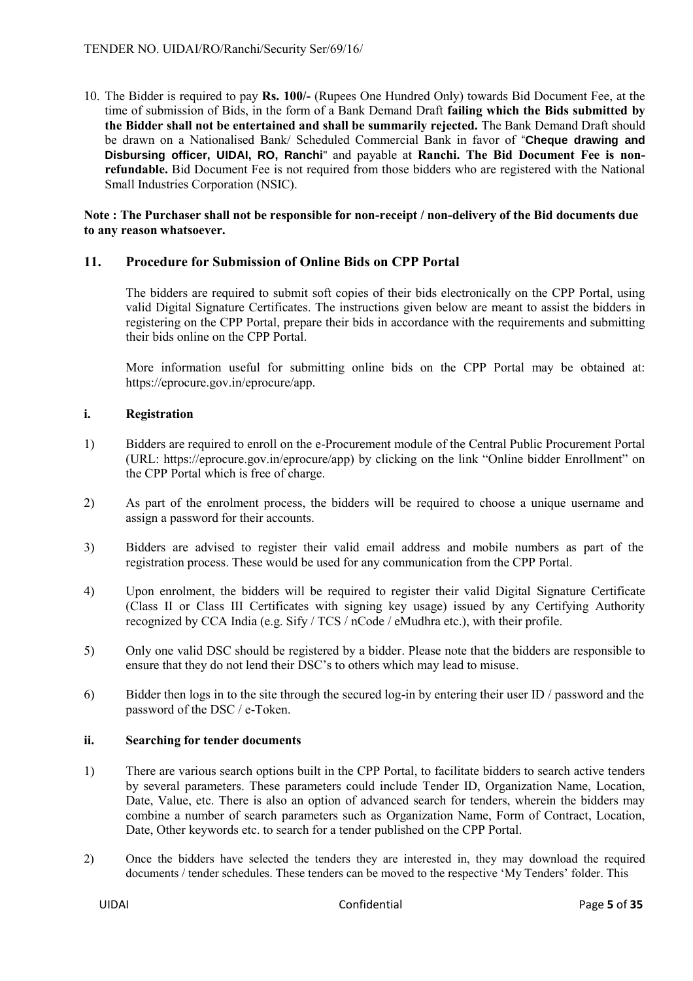10. The Bidder is required to pay **Rs. 100/-** (Rupees One Hundred Only) towards Bid Document Fee, at the time of submission of Bids, in the form of a Bank Demand Draft **failing which the Bids submitted by the Bidder shall not be entertained and shall be summarily rejected.** The Bank Demand Draft should be drawn on a Nationalised Bank/ Scheduled Commercial Bank in favor of "**Cheque drawing and Disbursing officer, UIDAI, RO, Ranchi**" and payable at **Ranchi. The Bid Document Fee is nonrefundable.** Bid Document Fee is not required from those bidders who are registered with the National Small Industries Corporation (NSIC).

#### **Note : The Purchaser shall not be responsible for non-receipt / non-delivery of the Bid documents due to any reason whatsoever.**

# **11. Procedure for Submission of Online Bids on CPP Portal**

The bidders are required to submit soft copies of their bids electronically on the CPP Portal, using valid Digital Signature Certificates. The instructions given below are meant to assist the bidders in registering on the CPP Portal, prepare their bids in accordance with the requirements and submitting their bids online on the CPP Portal.

More information useful for submitting online bids on the CPP Portal may be obtained at: https://eprocure.gov.in/eprocure/app.

#### **i. Registration**

- 1) Bidders are required to enroll on the e-Procurement module of the Central Public Procurement Portal (URL: https://eprocure.gov.in/eprocure/app) by clicking on the link "Online bidder Enrollment" on the CPP Portal which is free of charge.
- 2) As part of the enrolment process, the bidders will be required to choose a unique username and assign a password for their accounts.
- 3) Bidders are advised to register their valid email address and mobile numbers as part of the registration process. These would be used for any communication from the CPP Portal.
- 4) Upon enrolment, the bidders will be required to register their valid Digital Signature Certificate (Class II or Class III Certificates with signing key usage) issued by any Certifying Authority recognized by CCA India (e.g. Sify / TCS / nCode / eMudhra etc.), with their profile.
- 5) Only one valid DSC should be registered by a bidder. Please note that the bidders are responsible to ensure that they do not lend their DSC's to others which may lead to misuse.
- 6) Bidder then logs in to the site through the secured log-in by entering their user ID / password and the password of the DSC / e-Token.

#### **ii. Searching for tender documents**

- 1) There are various search options built in the CPP Portal, to facilitate bidders to search active tenders by several parameters. These parameters could include Tender ID, Organization Name, Location, Date, Value, etc. There is also an option of advanced search for tenders, wherein the bidders may combine a number of search parameters such as Organization Name, Form of Contract, Location, Date, Other keywords etc. to search for a tender published on the CPP Portal.
- 2) Once the bidders have selected the tenders they are interested in, they may download the required documents / tender schedules. These tenders can be moved to the respective 'My Tenders' folder. This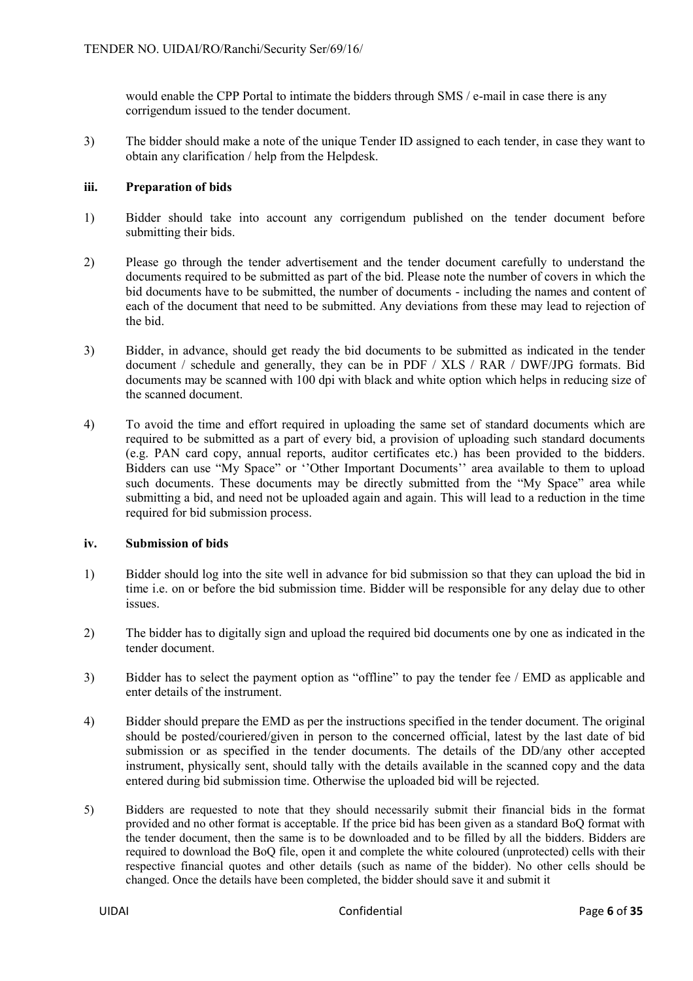would enable the CPP Portal to intimate the bidders through SMS / e-mail in case there is any corrigendum issued to the tender document.

3) The bidder should make a note of the unique Tender ID assigned to each tender, in case they want to obtain any clarification / help from the Helpdesk.

#### **iii. Preparation of bids**

- 1) Bidder should take into account any corrigendum published on the tender document before submitting their bids.
- 2) Please go through the tender advertisement and the tender document carefully to understand the documents required to be submitted as part of the bid. Please note the number of covers in which the bid documents have to be submitted, the number of documents - including the names and content of each of the document that need to be submitted. Any deviations from these may lead to rejection of the bid.
- 3) Bidder, in advance, should get ready the bid documents to be submitted as indicated in the tender document / schedule and generally, they can be in PDF / XLS / RAR / DWF/JPG formats. Bid documents may be scanned with 100 dpi with black and white option which helps in reducing size of the scanned document.
- 4) To avoid the time and effort required in uploading the same set of standard documents which are required to be submitted as a part of every bid, a provision of uploading such standard documents (e.g. PAN card copy, annual reports, auditor certificates etc.) has been provided to the bidders. Bidders can use "My Space" or ''Other Important Documents'' area available to them to upload such documents. These documents may be directly submitted from the "My Space" area while submitting a bid, and need not be uploaded again and again. This will lead to a reduction in the time required for bid submission process.

#### **iv. Submission of bids**

- 1) Bidder should log into the site well in advance for bid submission so that they can upload the bid in time i.e. on or before the bid submission time. Bidder will be responsible for any delay due to other issues.
- 2) The bidder has to digitally sign and upload the required bid documents one by one as indicated in the tender document.
- 3) Bidder has to select the payment option as "offline" to pay the tender fee / EMD as applicable and enter details of the instrument.
- 4) Bidder should prepare the EMD as per the instructions specified in the tender document. The original should be posted/couriered/given in person to the concerned official, latest by the last date of bid submission or as specified in the tender documents. The details of the DD/any other accepted instrument, physically sent, should tally with the details available in the scanned copy and the data entered during bid submission time. Otherwise the uploaded bid will be rejected.
- 5) Bidders are requested to note that they should necessarily submit their financial bids in the format provided and no other format is acceptable. If the price bid has been given as a standard BoQ format with the tender document, then the same is to be downloaded and to be filled by all the bidders. Bidders are required to download the BoQ file, open it and complete the white coloured (unprotected) cells with their respective financial quotes and other details (such as name of the bidder). No other cells should be changed. Once the details have been completed, the bidder should save it and submit it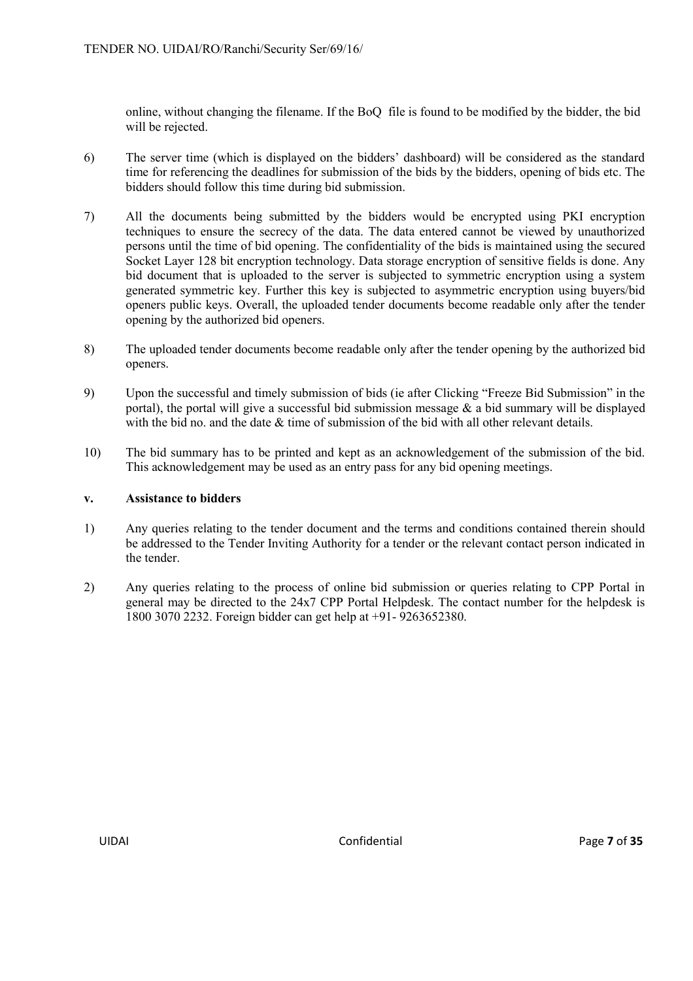online, without changing the filename. If the BoQ file is found to be modified by the bidder, the bid will be rejected.

- 6) The server time (which is displayed on the bidders' dashboard) will be considered as the standard time for referencing the deadlines for submission of the bids by the bidders, opening of bids etc. The bidders should follow this time during bid submission.
- 7) All the documents being submitted by the bidders would be encrypted using PKI encryption techniques to ensure the secrecy of the data. The data entered cannot be viewed by unauthorized persons until the time of bid opening. The confidentiality of the bids is maintained using the secured Socket Layer 128 bit encryption technology. Data storage encryption of sensitive fields is done. Any bid document that is uploaded to the server is subjected to symmetric encryption using a system generated symmetric key. Further this key is subjected to asymmetric encryption using buyers/bid openers public keys. Overall, the uploaded tender documents become readable only after the tender opening by the authorized bid openers.
- 8) The uploaded tender documents become readable only after the tender opening by the authorized bid openers.
- 9) Upon the successful and timely submission of bids (ie after Clicking "Freeze Bid Submission" in the portal), the portal will give a successful bid submission message  $\&$  a bid summary will be displayed with the bid no. and the date  $\&$  time of submission of the bid with all other relevant details.
- 10) The bid summary has to be printed and kept as an acknowledgement of the submission of the bid. This acknowledgement may be used as an entry pass for any bid opening meetings.

#### **v. Assistance to bidders**

- 1) Any queries relating to the tender document and the terms and conditions contained therein should be addressed to the Tender Inviting Authority for a tender or the relevant contact person indicated in the tender.
- 2) Any queries relating to the process of online bid submission or queries relating to CPP Portal in general may be directed to the 24x7 CPP Portal Helpdesk. The contact number for the helpdesk is 1800 3070 2232. Foreign bidder can get help at +91- 9263652380.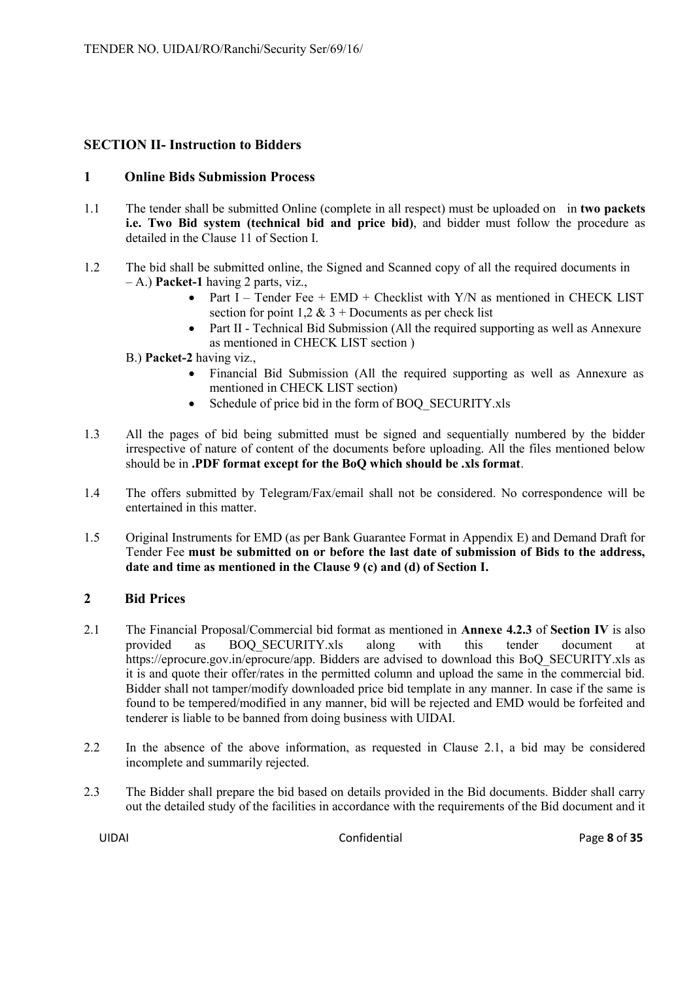# **SECTION II- Instruction to Bidders**

# **1 Online Bids Submission Process**

- 1.1 The tender shall be submitted Online (complete in all respect) must be uploaded on in **two packets i.e. Two Bid system (technical bid and price bid)**, and bidder must follow the procedure as detailed in the Clause 11 of Section I.
- 1.2 The bid shall be submitted online, the Signed and Scanned copy of all the required documents in – A.) **Packet-1** having 2 parts, viz.,
	- Part I Tender Fee +  $EMD$  + Checklist with Y/N as mentioned in CHECK LIST section for point  $1,2 \& 3 +$  Documents as per check list
	- Part II Technical Bid Submission (All the required supporting as well as Annexure as mentioned in CHECK LIST section )

B.) **Packet-2** having viz.,

- Financial Bid Submission (All the required supporting as well as Annexure as mentioned in CHECK LIST section)
- Schedule of price bid in the form of BOQ\_SECURITY.xls
- 1.3 All the pages of bid being submitted must be signed and sequentially numbered by the bidder irrespective of nature of content of the documents before uploading. All the files mentioned below should be in **.PDF format except for the BoQ which should be .xls format**.
- 1.4 The offers submitted by Telegram/Fax/email shall not be considered. No correspondence will be entertained in this matter.
- 1.5 Original Instruments for EMD (as per Bank Guarantee Format in Appendix E) and Demand Draft for Tender Fee **must be submitted on or before the last date of submission of Bids to the address, date and time as mentioned in the Clause 9 (c) and (d) of Section I.**

# **2 Bid Prices**

- 2.1 The Financial Proposal/Commercial bid format as mentioned in **Annexe 4.2.3** of **Section IV** is also provided as BOQ\_SECURITY.xls along with this tender document at https://eprocure.gov.in/eprocure/app. Bidders are advised to download this BoQ\_SECURITY.xls as it is and quote their offer/rates in the permitted column and upload the same in the commercial bid. Bidder shall not tamper/modify downloaded price bid template in any manner. In case if the same is found to be tempered/modified in any manner, bid will be rejected and EMD would be forfeited and tenderer is liable to be banned from doing business with UIDAI.
- 2.2 In the absence of the above information, as requested in Clause 2.1, a bid may be considered incomplete and summarily rejected.
- 2.3 The Bidder shall prepare the bid based on details provided in the Bid documents. Bidder shall carry out the detailed study of the facilities in accordance with the requirements of the Bid document and it

UIDAI Confidential Page **8** of **35**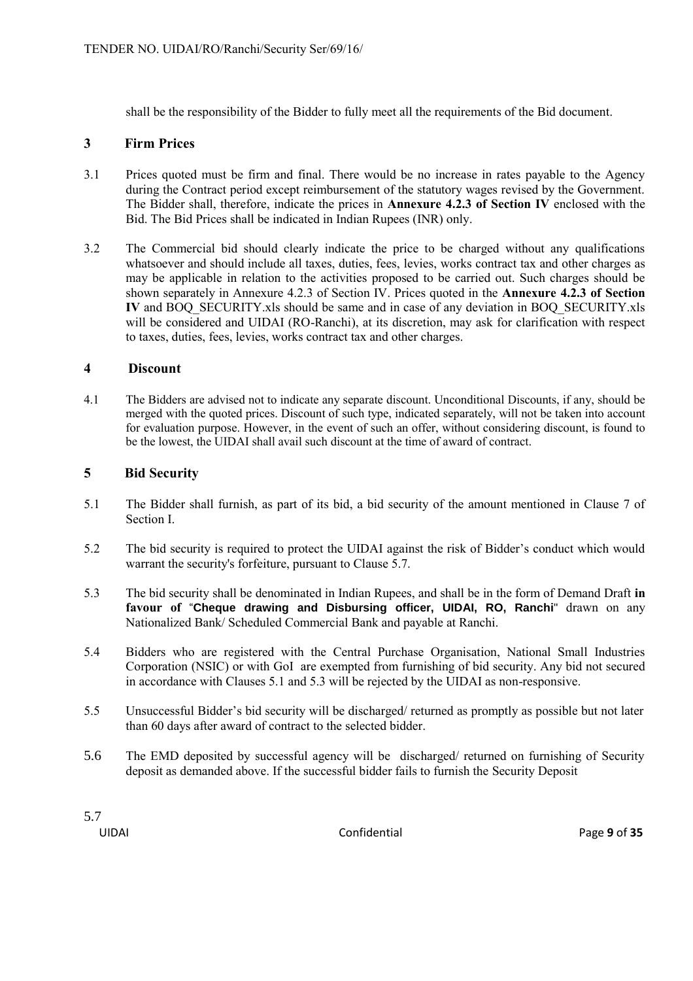shall be the responsibility of the Bidder to fully meet all the requirements of the Bid document.

#### **3 Firm Prices**

- 3.1 Prices quoted must be firm and final. There would be no increase in rates payable to the Agency during the Contract period except reimbursement of the statutory wages revised by the Government. The Bidder shall, therefore, indicate the prices in **Annexure 4.2.3 of Section IV** enclosed with the Bid. The Bid Prices shall be indicated in Indian Rupees (INR) only.
- 3.2 The Commercial bid should clearly indicate the price to be charged without any qualifications whatsoever and should include all taxes, duties, fees, levies, works contract tax and other charges as may be applicable in relation to the activities proposed to be carried out. Such charges should be shown separately in Annexure 4.2.3 of Section IV. Prices quoted in the **Annexure 4.2.3 of Section IV** and BOQ\_SECURITY.xls should be same and in case of any deviation in BOQ\_SECURITY.xls will be considered and UIDAI (RO-Ranchi), at its discretion, may ask for clarification with respect to taxes, duties, fees, levies, works contract tax and other charges.

#### **4 Discount**

4.1 The Bidders are advised not to indicate any separate discount. Unconditional Discounts, if any, should be merged with the quoted prices. Discount of such type, indicated separately, will not be taken into account for evaluation purpose. However, in the event of such an offer, without considering discount, is found to be the lowest, the UIDAI shall avail such discount at the time of award of contract.

#### **5 Bid Security**

- 5.1 The Bidder shall furnish, as part of its bid, a bid security of the amount mentioned in Clause 7 of Section I.
- 5.2 The bid security is required to protect the UIDAI against the risk of Bidder's conduct which would warrant the security's forfeiture, pursuant to Clause 5.7.
- 5.3 The bid security shall be denominated in Indian Rupees, and shall be in the form of Demand Draft **in favour of** "**Cheque drawing and Disbursing officer, UIDAI, RO, Ranchi**" drawn on any Nationalized Bank/ Scheduled Commercial Bank and payable at Ranchi.
- 5.4 Bidders who are registered with the Central Purchase Organisation, National Small Industries Corporation (NSIC) or with GoI are exempted from furnishing of bid security. Any bid not secured in accordance with Clauses 5.1 and 5.3 will be rejected by the UIDAI as non-responsive.
- 5.5 Unsuccessful Bidder's bid security will be discharged/ returned as promptly as possible but not later than 60 days after award of contract to the selected bidder.
- 5.6 The EMD deposited by successful agency will be discharged/ returned on furnishing of Security deposit as demanded above. If the successful bidder fails to furnish the Security Deposit

5.7

UIDAI Confidential Page **9** of **35**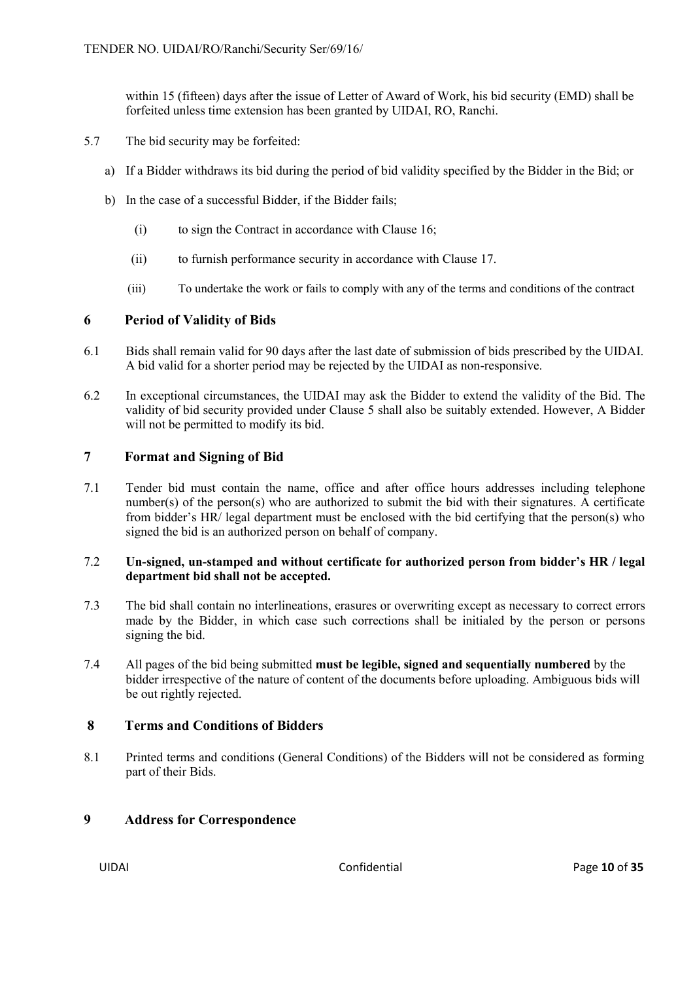within 15 (fifteen) days after the issue of Letter of Award of Work, his bid security (EMD) shall be forfeited unless time extension has been granted by UIDAI, RO, Ranchi.

- 5.7 The bid security may be forfeited:
	- a) If a Bidder withdraws its bid during the period of bid validity specified by the Bidder in the Bid; or
	- b) In the case of a successful Bidder, if the Bidder fails;
		- (i) to sign the Contract in accordance with Clause 16;
		- (ii) to furnish performance security in accordance with Clause 17.
		- (iii) To undertake the work or fails to comply with any of the terms and conditions of the contract

# **6 Period of Validity of Bids**

- 6.1 Bids shall remain valid for 90 days after the last date of submission of bids prescribed by the UIDAI. A bid valid for a shorter period may be rejected by the UIDAI as non-responsive.
- 6.2 In exceptional circumstances, the UIDAI may ask the Bidder to extend the validity of the Bid. The validity of bid security provided under Clause 5 shall also be suitably extended. However, A Bidder will not be permitted to modify its bid.

# **7 Format and Signing of Bid**

7.1 Tender bid must contain the name, office and after office hours addresses including telephone number(s) of the person(s) who are authorized to submit the bid with their signatures. A certificate from bidder's HR/ legal department must be enclosed with the bid certifying that the person(s) who signed the bid is an authorized person on behalf of company.

# 7.2 **Un-signed, un-stamped and without certificate for authorized person from bidder's HR / legal department bid shall not be accepted.**

- 7.3 The bid shall contain no interlineations, erasures or overwriting except as necessary to correct errors made by the Bidder, in which case such corrections shall be initialed by the person or persons signing the bid.
- 7.4 All pages of the bid being submitted **must be legible, signed and sequentially numbered** by the bidder irrespective of the nature of content of the documents before uploading. Ambiguous bids will be out rightly rejected.

# **8 Terms and Conditions of Bidders**

8.1 Printed terms and conditions (General Conditions) of the Bidders will not be considered as forming part of their Bids.

# **9 Address for Correspondence**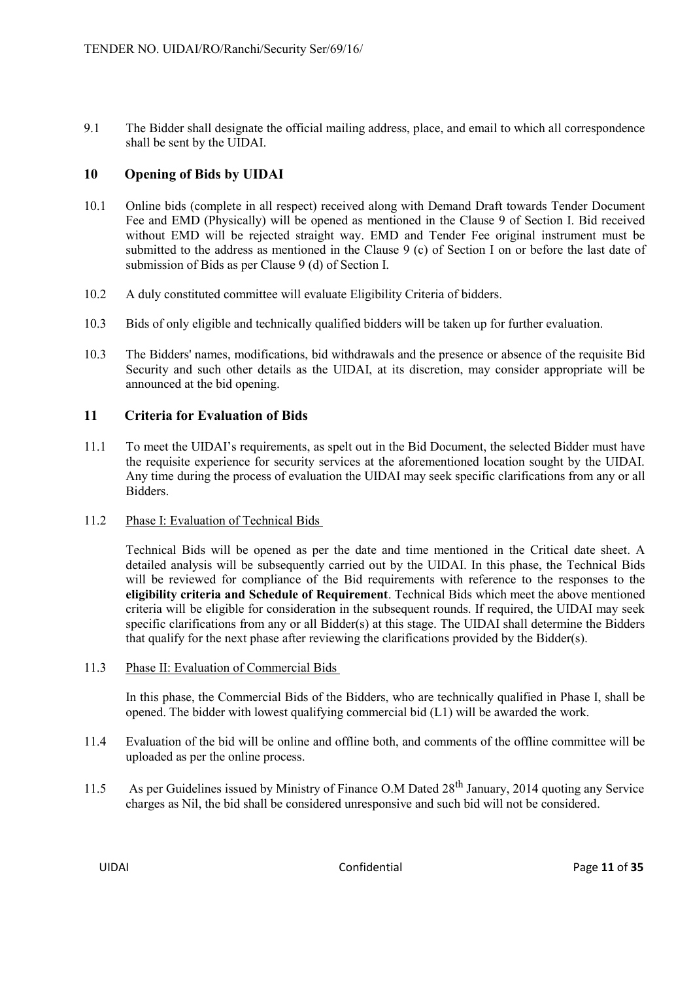9.1 The Bidder shall designate the official mailing address, place, and email to which all correspondence shall be sent by the UIDAI.

# **10 Opening of Bids by UIDAI**

- 10.1 Online bids (complete in all respect) received along with Demand Draft towards Tender Document Fee and EMD (Physically) will be opened as mentioned in the Clause 9 of Section I. Bid received without EMD will be rejected straight way. EMD and Tender Fee original instrument must be submitted to the address as mentioned in the Clause 9 (c) of Section I on or before the last date of submission of Bids as per Clause 9 (d) of Section I.
- 10.2 A duly constituted committee will evaluate Eligibility Criteria of bidders.
- 10.3 Bids of only eligible and technically qualified bidders will be taken up for further evaluation.
- 10.3 The Bidders' names, modifications, bid withdrawals and the presence or absence of the requisite Bid Security and such other details as the UIDAI, at its discretion, may consider appropriate will be announced at the bid opening.

# **11 Criteria for Evaluation of Bids**

- 11.1 To meet the UIDAI's requirements, as spelt out in the Bid Document, the selected Bidder must have the requisite experience for security services at the aforementioned location sought by the UIDAI. Any time during the process of evaluation the UIDAI may seek specific clarifications from any or all Bidders.
- 11.2 Phase I: Evaluation of Technical Bids

Technical Bids will be opened as per the date and time mentioned in the Critical date sheet. A detailed analysis will be subsequently carried out by the UIDAI. In this phase, the Technical Bids will be reviewed for compliance of the Bid requirements with reference to the responses to the **eligibility criteria and Schedule of Requirement**. Technical Bids which meet the above mentioned criteria will be eligible for consideration in the subsequent rounds. If required, the UIDAI may seek specific clarifications from any or all Bidder(s) at this stage. The UIDAI shall determine the Bidders that qualify for the next phase after reviewing the clarifications provided by the Bidder(s).

11.3 Phase II: Evaluation of Commercial Bids

In this phase, the Commercial Bids of the Bidders, who are technically qualified in Phase I, shall be opened. The bidder with lowest qualifying commercial bid (L1) will be awarded the work.

- 11.4 Evaluation of the bid will be online and offline both, and comments of the offline committee will be uploaded as per the online process.
- 11.5 As per Guidelines issued by Ministry of Finance O.M Dated 28<sup>th</sup> January, 2014 quoting any Service charges as Nil, the bid shall be considered unresponsive and such bid will not be considered.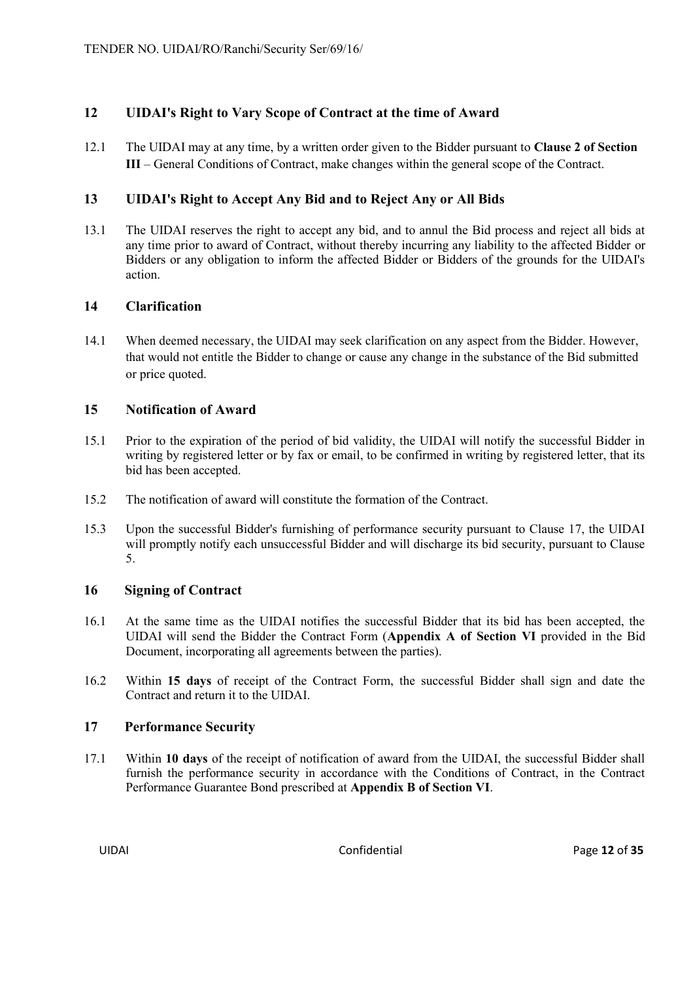# **12 UIDAI's Right to Vary Scope of Contract at the time of Award**

12.1 The UIDAI may at any time, by a written order given to the Bidder pursuant to **Clause 2 of Section III** – General Conditions of Contract, make changes within the general scope of the Contract.

# **13 UIDAI's Right to Accept Any Bid and to Reject Any or All Bids**

13.1 The UIDAI reserves the right to accept any bid, and to annul the Bid process and reject all bids at any time prior to award of Contract, without thereby incurring any liability to the affected Bidder or Bidders or any obligation to inform the affected Bidder or Bidders of the grounds for the UIDAI's action.

# **14 Clarification**

14.1 When deemed necessary, the UIDAI may seek clarification on any aspect from the Bidder. However, that would not entitle the Bidder to change or cause any change in the substance of the Bid submitted or price quoted.

#### **15 Notification of Award**

- 15.1 Prior to the expiration of the period of bid validity, the UIDAI will notify the successful Bidder in writing by registered letter or by fax or email, to be confirmed in writing by registered letter, that its bid has been accepted.
- 15.2 The notification of award will constitute the formation of the Contract.
- 15.3 Upon the successful Bidder's furnishing of performance security pursuant to Clause 17, the UIDAI will promptly notify each unsuccessful Bidder and will discharge its bid security, pursuant to Clause 5.

# **16 Signing of Contract**

- 16.1 At the same time as the UIDAI notifies the successful Bidder that its bid has been accepted, the UIDAI will send the Bidder the Contract Form (**Appendix A of Section VI** provided in the Bid Document, incorporating all agreements between the parties).
- 16.2 Within **15 days** of receipt of the Contract Form, the successful Bidder shall sign and date the Contract and return it to the UIDAI.

# **17 Performance Security**

17.1 Within **10 days** of the receipt of notification of award from the UIDAI, the successful Bidder shall furnish the performance security in accordance with the Conditions of Contract, in the Contract Performance Guarantee Bond prescribed at **Appendix B of Section VI**.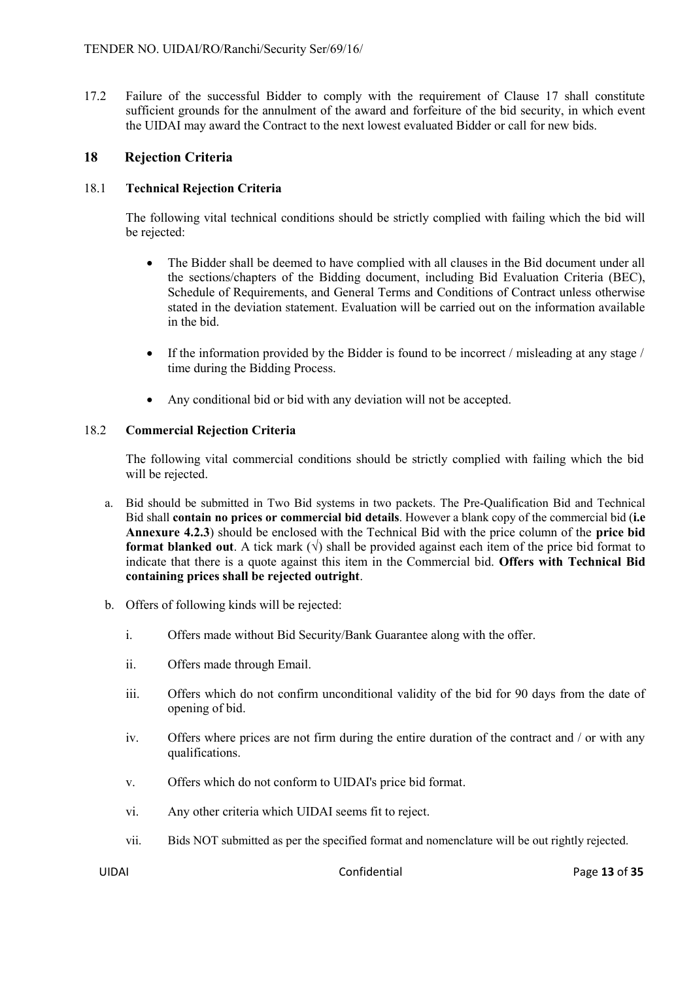17.2 Failure of the successful Bidder to comply with the requirement of Clause 17 shall constitute sufficient grounds for the annulment of the award and forfeiture of the bid security, in which event the UIDAI may award the Contract to the next lowest evaluated Bidder or call for new bids.

#### **18 Rejection Criteria**

#### 18.1 **Technical Rejection Criteria**

The following vital technical conditions should be strictly complied with failing which the bid will be rejected:

- The Bidder shall be deemed to have complied with all clauses in the Bid document under all the sections/chapters of the Bidding document, including Bid Evaluation Criteria (BEC), Schedule of Requirements, and General Terms and Conditions of Contract unless otherwise stated in the deviation statement. Evaluation will be carried out on the information available in the bid.
- If the information provided by the Bidder is found to be incorrect / misleading at any stage / time during the Bidding Process.
- Any conditional bid or bid with any deviation will not be accepted.

#### 18.2 **Commercial Rejection Criteria**

The following vital commercial conditions should be strictly complied with failing which the bid will be rejected.

- a. Bid should be submitted in Two Bid systems in two packets. The Pre-Qualification Bid and Technical Bid shall **contain no prices or commercial bid details**. However a blank copy of the commercial bid (**i.e Annexure 4.2.3**) should be enclosed with the Technical Bid with the price column of the **price bid format blanked out**. A tick mark  $(\sqrt{})$  shall be provided against each item of the price bid format to indicate that there is a quote against this item in the Commercial bid. **Offers with Technical Bid containing prices shall be rejected outright**.
- b. Offers of following kinds will be rejected:
	- i. Offers made without Bid Security/Bank Guarantee along with the offer.
	- ii. Offers made through Email.
	- iii. Offers which do not confirm unconditional validity of the bid for 90 days from the date of opening of bid.
	- iv. Offers where prices are not firm during the entire duration of the contract and / or with any qualifications.
	- v. Offers which do not conform to UIDAI's price bid format.
	- vi. Any other criteria which UIDAI seems fit to reject.
	- vii. Bids NOT submitted as per the specified format and nomenclature will be out rightly rejected.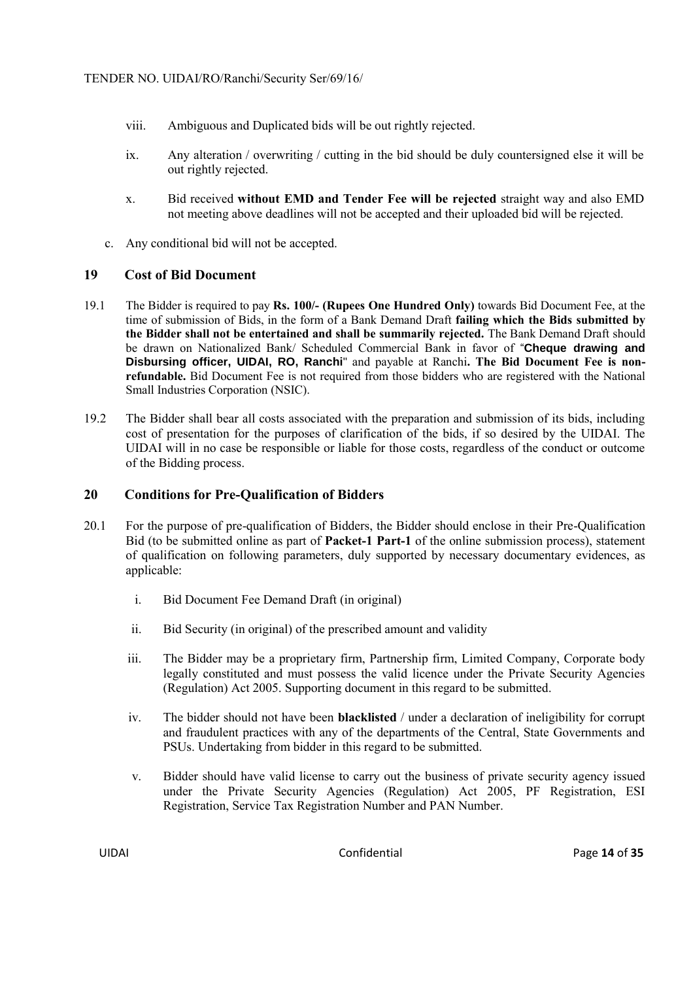- viii. Ambiguous and Duplicated bids will be out rightly rejected.
- ix. Any alteration / overwriting / cutting in the bid should be duly countersigned else it will be out rightly rejected.
- x. Bid received **without EMD and Tender Fee will be rejected** straight way and also EMD not meeting above deadlines will not be accepted and their uploaded bid will be rejected.
- c. Any conditional bid will not be accepted.

# **19 Cost of Bid Document**

- 19.1 The Bidder is required to pay **Rs. 100/- (Rupees One Hundred Only)** towards Bid Document Fee, at the time of submission of Bids, in the form of a Bank Demand Draft **failing which the Bids submitted by the Bidder shall not be entertained and shall be summarily rejected.** The Bank Demand Draft should be drawn on Nationalized Bank/ Scheduled Commercial Bank in favor of "**Cheque drawing and Disbursing officer, UIDAI, RO, Ranchi**" and payable at Ranchi**. The Bid Document Fee is nonrefundable.** Bid Document Fee is not required from those bidders who are registered with the National Small Industries Corporation (NSIC).
- 19.2 The Bidder shall bear all costs associated with the preparation and submission of its bids, including cost of presentation for the purposes of clarification of the bids, if so desired by the UIDAI. The UIDAI will in no case be responsible or liable for those costs, regardless of the conduct or outcome of the Bidding process.

# **20 Conditions for Pre-Qualification of Bidders**

- 20.1 For the purpose of pre-qualification of Bidders, the Bidder should enclose in their Pre-Qualification Bid (to be submitted online as part of **Packet-1 Part-1** of the online submission process), statement of qualification on following parameters, duly supported by necessary documentary evidences, as applicable:
	- i. Bid Document Fee Demand Draft (in original)
	- ii. Bid Security (in original) of the prescribed amount and validity
	- iii. The Bidder may be a proprietary firm, Partnership firm, Limited Company, Corporate body legally constituted and must possess the valid licence under the Private Security Agencies (Regulation) Act 2005. Supporting document in this regard to be submitted.
	- iv. The bidder should not have been **blacklisted** / under a declaration of ineligibility for corrupt and fraudulent practices with any of the departments of the Central, State Governments and PSUs. Undertaking from bidder in this regard to be submitted.
	- v. Bidder should have valid license to carry out the business of private security agency issued under the Private Security Agencies (Regulation) Act 2005, PF Registration, ESI Registration, Service Tax Registration Number and PAN Number.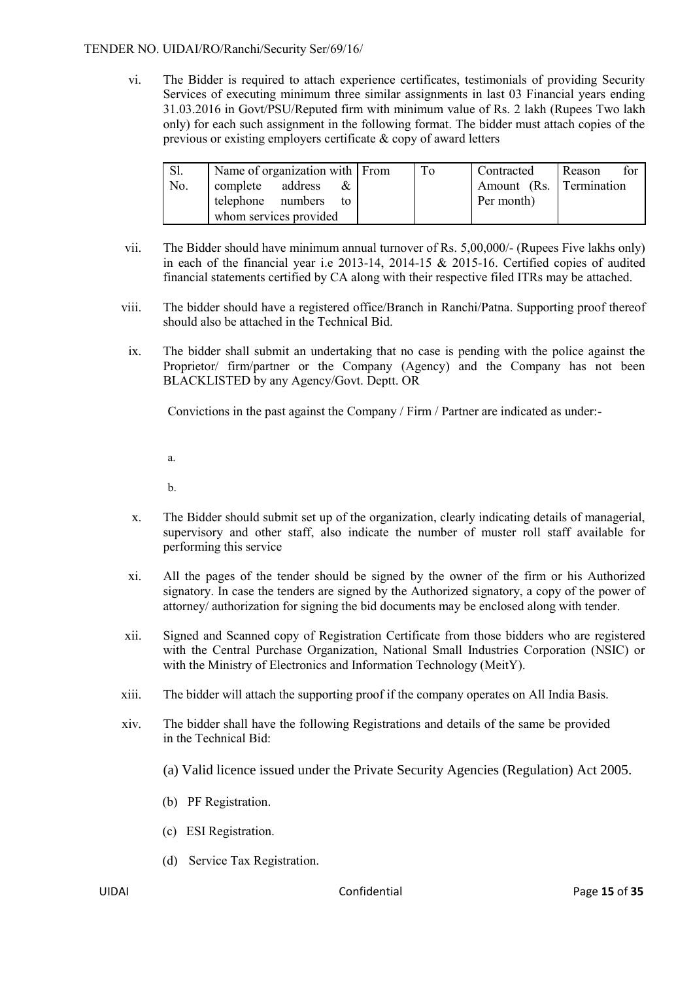vi. The Bidder is required to attach experience certificates, testimonials of providing Security Services of executing minimum three similar assignments in last 03 Financial years ending 31.03.2016 in Govt/PSU/Reputed firm with minimum value of Rs. 2 lakh (Rupees Two lakh only) for each such assignment in the following format. The bidder must attach copies of the previous or existing employers certificate & copy of award letters

| Sl. | Name of organization with From | To | Contracted              | for<br>Reason |
|-----|--------------------------------|----|-------------------------|---------------|
| No. | complete address<br>&          |    | Amount (Rs. Termination |               |
|     | telephone numbers to           |    | Per month)              |               |
|     | whom services provided         |    |                         |               |

- vii. The Bidder should have minimum annual turnover of Rs. 5,00,000/- (Rupees Five lakhs only) in each of the financial year i.e 2013-14, 2014-15 & 2015-16. Certified copies of audited financial statements certified by CA along with their respective filed ITRs may be attached.
- viii. The bidder should have a registered office/Branch in Ranchi/Patna. Supporting proof thereof should also be attached in the Technical Bid.
	- ix. The bidder shall submit an undertaking that no case is pending with the police against the Proprietor/ firm/partner or the Company (Agency) and the Company has not been BLACKLISTED by any Agency/Govt. Deptt. OR

Convictions in the past against the Company / Firm / Partner are indicated as under:-

a.

b.

- x. The Bidder should submit set up of the organization, clearly indicating details of managerial, supervisory and other staff, also indicate the number of muster roll staff available for performing this service
- xi. All the pages of the tender should be signed by the owner of the firm or his Authorized signatory. In case the tenders are signed by the Authorized signatory, a copy of the power of attorney/ authorization for signing the bid documents may be enclosed along with tender.
- xii. Signed and Scanned copy of Registration Certificate from those bidders who are registered with the Central Purchase Organization, National Small Industries Corporation (NSIC) or with the Ministry of Electronics and Information Technology (MeitY).
- xiii. The bidder will attach the supporting proof if the company operates on All India Basis.
- xiv. The bidder shall have the following Registrations and details of the same be provided in the Technical Bid:
	- (a) Valid licence issued under the Private Security Agencies (Regulation) Act 2005.
	- (b) PF Registration.
	- (c) ESI Registration.
	- (d) Service Tax Registration.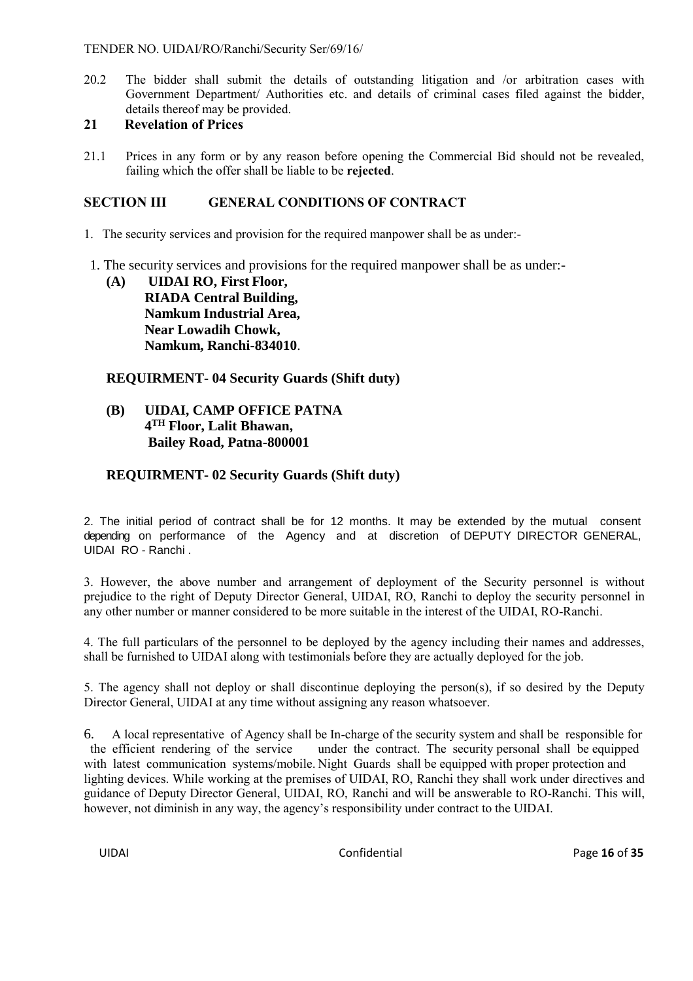20.2 The bidder shall submit the details of outstanding litigation and /or arbitration cases with Government Department/ Authorities etc. and details of criminal cases filed against the bidder, details thereof may be provided.

# **21 Revelation of Prices**

21.1 Prices in any form or by any reason before opening the Commercial Bid should not be revealed, failing which the offer shall be liable to be **rejected**.

# **SECTION III GENERAL CONDITIONS OF CONTRACT**

- 1. The security services and provision for the required manpower shall be as under:-
- 1. The security services and provisions for the required manpower shall be as under:-
	- **(A) UIDAI RO, First Floor, RIADA Central Building, Namkum Industrial Area, Near Lowadih Chowk, Namkum, Ranchi-834010**.

# **REQUIRMENT- 04 Security Guards (Shift duty)**

# **(B) UIDAI, CAMP OFFICE PATNA 4 TH Floor, Lalit Bhawan, Bailey Road, Patna-800001**

# **REQUIRMENT- 02 Security Guards (Shift duty)**

2. The initial period of contract shall be for 12 months. It may be extended by the mutual consent depending on performance of the Agency and at discretion of DEPUTY DIRECTOR GENERAL, UIDAI RO - Ranchi .

3. However, the above number and arrangement of deployment of the Security personnel is without prejudice to the right of Deputy Director General, UIDAI, RO, Ranchi to deploy the security personnel in any other number or manner considered to be more suitable in the interest of the UIDAI, RO-Ranchi.

4. The full particulars of the personnel to be deployed by the agency including their names and addresses, shall be furnished to UIDAI along with testimonials before they are actually deployed for the job.

5. The agency shall not deploy or shall discontinue deploying the person(s), if so desired by the Deputy Director General, UIDAI at any time without assigning any reason whatsoever.

6. A local representative of Agency shall be In-charge of the security system and shall be responsible for the efficient rendering of the service under the contract. The security personal shall be equipped with latest communication systems/mobile. Night Guards shall be equipped with proper protection and lighting devices. While working at the premises of UIDAI, RO, Ranchi they shall work under directives and guidance of Deputy Director General, UIDAI, RO, Ranchi and will be answerable to RO-Ranchi. This will, however, not diminish in any way, the agency's responsibility under contract to the UIDAI.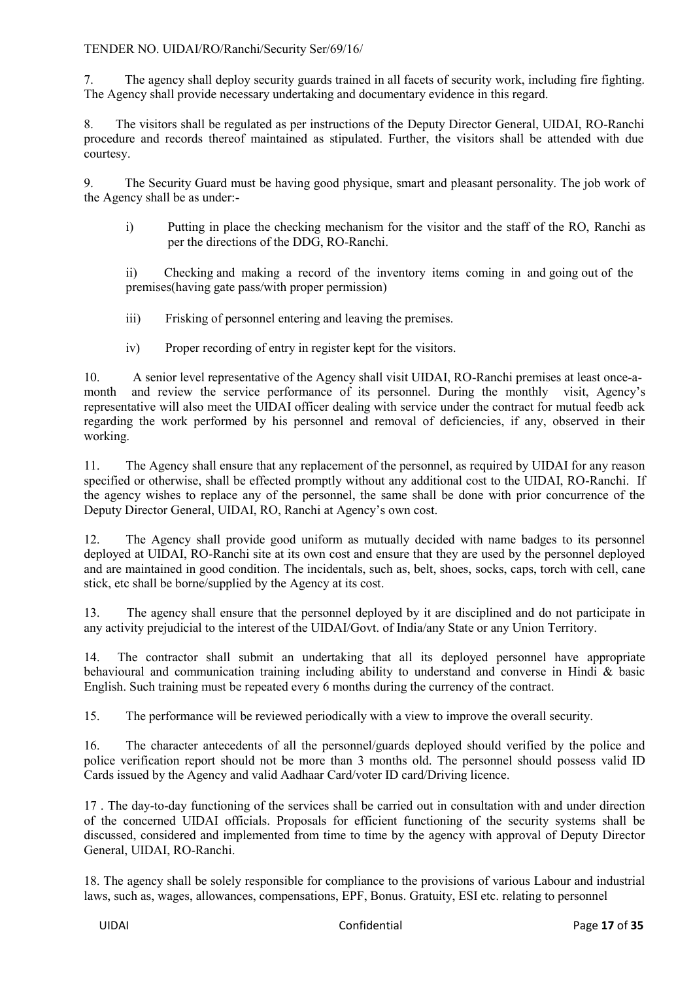7. The agency shall deploy security guards trained in all facets of security work, including fire fighting. The Agency shall provide necessary undertaking and documentary evidence in this regard.

8. The visitors shall be regulated as per instructions of the Deputy Director General, UIDAI, RO-Ranchi procedure and records thereof maintained as stipulated. Further, the visitors shall be attended with due courtesy.

9. The Security Guard must be having good physique, smart and pleasant personality. The job work of the Agency shall be as under:-

i) Putting in place the checking mechanism for the visitor and the staff of the RO, Ranchi as per the directions of the DDG, RO-Ranchi.

ii) Checking and making a record of the inventory items coming in and going out of the premises(having gate pass/with proper permission)

- iii) Frisking of personnel entering and leaving the premises.
- iv) Proper recording of entry in register kept for the visitors.

10. A senior level representative of the Agency shall visit UIDAI, RO-Ranchi premises at least once-amonth and review the service performance of its personnel. During the monthly visit, Agency's representative will also meet the UIDAI officer dealing with service under the contract for mutual feedb ack regarding the work performed by his personnel and removal of deficiencies, if any, observed in their working.

11. The Agency shall ensure that any replacement of the personnel, as required by UIDAI for any reason specified or otherwise, shall be effected promptly without any additional cost to the UIDAI, RO-Ranchi. If the agency wishes to replace any of the personnel, the same shall be done with prior concurrence of the Deputy Director General, UIDAI, RO, Ranchi at Agency's own cost.

12. The Agency shall provide good uniform as mutually decided with name badges to its personnel deployed at UIDAI, RO-Ranchi site at its own cost and ensure that they are used by the personnel deployed and are maintained in good condition. The incidentals, such as, belt, shoes, socks, caps, torch with cell, cane stick, etc shall be borne/supplied by the Agency at its cost.

13. The agency shall ensure that the personnel deployed by it are disciplined and do not participate in any activity prejudicial to the interest of the UIDAI/Govt. of India/any State or any Union Territory.

14. The contractor shall submit an undertaking that all its deployed personnel have appropriate behavioural and communication training including ability to understand and converse in Hindi & basic English. Such training must be repeated every 6 months during the currency of the contract.

15. The performance will be reviewed periodically with a view to improve the overall security.

16. The character antecedents of all the personnel/guards deployed should verified by the police and police verification report should not be more than 3 months old. The personnel should possess valid ID Cards issued by the Agency and valid Aadhaar Card/voter ID card/Driving licence.

17 . The day-to-day functioning of the services shall be carried out in consultation with and under direction of the concerned UIDAI officials. Proposals for efficient functioning of the security systems shall be discussed, considered and implemented from time to time by the agency with approval of Deputy Director General, UIDAI, RO-Ranchi.

18. The agency shall be solely responsible for compliance to the provisions of various Labour and industrial laws, such as, wages, allowances, compensations, EPF, Bonus. Gratuity, ESI etc. relating to personnel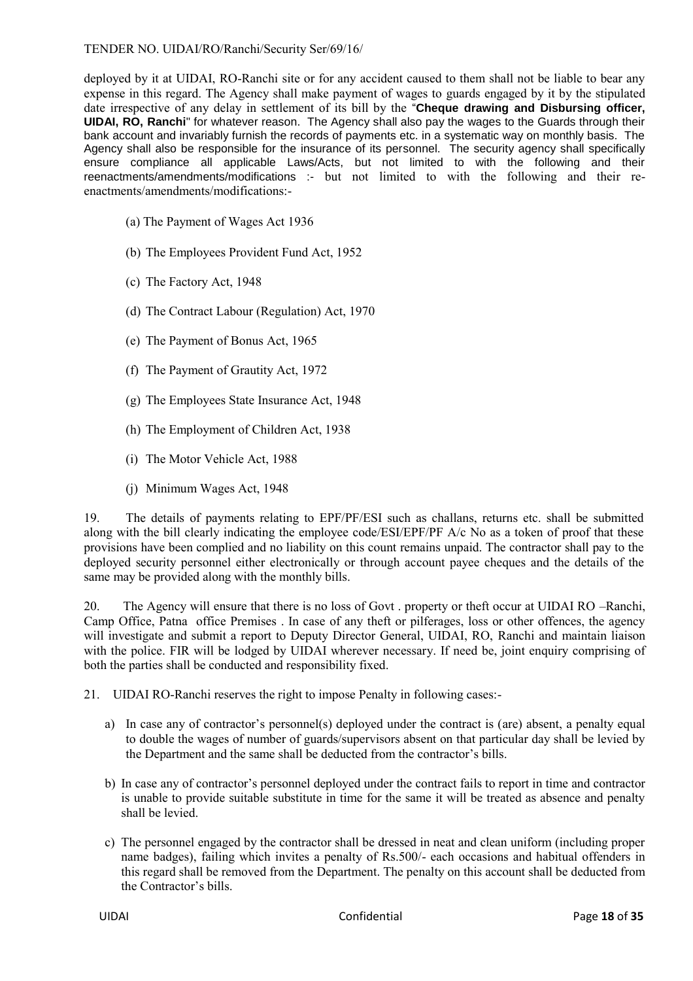deployed by it at UIDAI, RO-Ranchi site or for any accident caused to them shall not be liable to bear any expense in this regard. The Agency shall make payment of wages to guards engaged by it by the stipulated date irrespective of any delay in settlement of its bill by the "**Cheque drawing and Disbursing officer, UIDAI, RO, Ranchi**" for whatever reason. The Agency shall also pay the wages to the Guards through their bank account and invariably furnish the records of payments etc. in a systematic way on monthly basis. The Agency shall also be responsible for the insurance of its personnel. The security agency shall specifically ensure compliance all applicable Laws/Acts, but not limited to with the following and their reenactments/amendments/modifications :- but not limited to with the following and their reenactments/amendments/modifications:-

- (a) The Payment of Wages Act 1936
- (b) The Employees Provident Fund Act, 1952
- (c) The Factory Act, 1948
- (d) The Contract Labour (Regulation) Act, 1970
- (e) The Payment of Bonus Act, 1965
- (f) The Payment of Grautity Act, 1972
- (g) The Employees State Insurance Act, 1948
- (h) The Employment of Children Act, 1938
- (i) The Motor Vehicle Act, 1988
- (j) Minimum Wages Act, 1948

19. The details of payments relating to EPF/PF/ESI such as challans, returns etc. shall be submitted along with the bill clearly indicating the employee code/ESI/EPF/PF A/c No as a token of proof that these provisions have been complied and no liability on this count remains unpaid. The contractor shall pay to the deployed security personnel either electronically or through account payee cheques and the details of the same may be provided along with the monthly bills.

20. The Agency will ensure that there is no loss of Govt . property or theft occur at UIDAI RO –Ranchi, Camp Office, Patna office Premises . In case of any theft or pilferages, loss or other offences, the agency will investigate and submit a report to Deputy Director General, UIDAI, RO, Ranchi and maintain liaison with the police. FIR will be lodged by UIDAI wherever necessary. If need be, joint enquiry comprising of both the parties shall be conducted and responsibility fixed.

21. UIDAI RO-Ranchi reserves the right to impose Penalty in following cases:-

- a) In case any of contractor's personnel(s) deployed under the contract is (are) absent, a penalty equal to double the wages of number of guards/supervisors absent on that particular day shall be levied by the Department and the same shall be deducted from the contractor's bills.
- b) In case any of contractor's personnel deployed under the contract fails to report in time and contractor is unable to provide suitable substitute in time for the same it will be treated as absence and penalty shall be levied.
- c) The personnel engaged by the contractor shall be dressed in neat and clean uniform (including proper name badges), failing which invites a penalty of Rs.500/- each occasions and habitual offenders in this regard shall be removed from the Department. The penalty on this account shall be deducted from the Contractor's bills.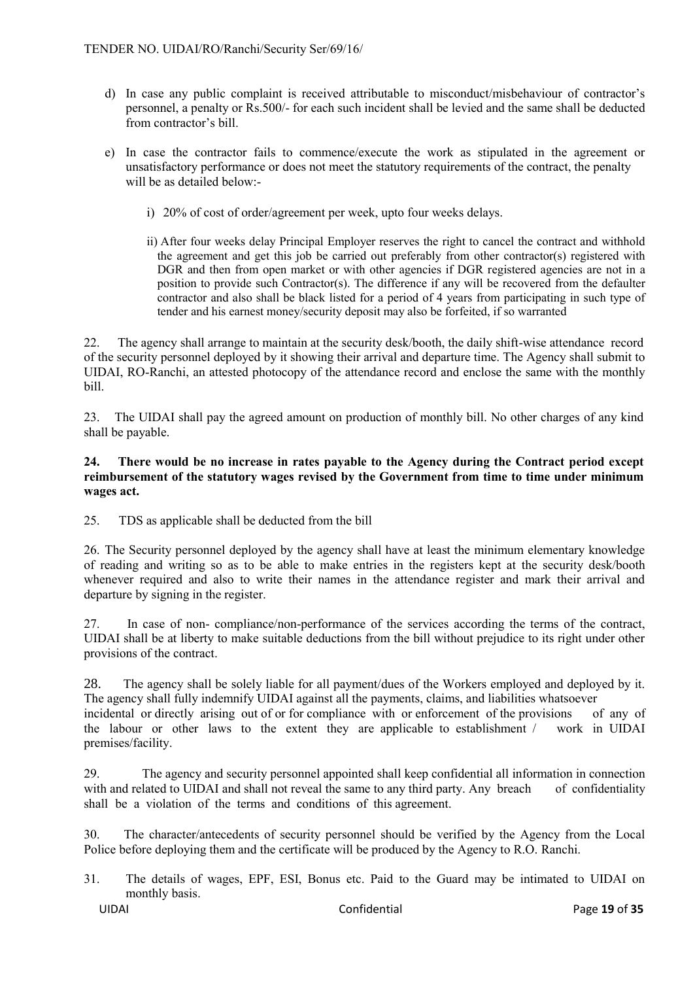- d) In case any public complaint is received attributable to misconduct/misbehaviour of contractor's personnel, a penalty or Rs.500/- for each such incident shall be levied and the same shall be deducted from contractor's bill.
- e) In case the contractor fails to commence/execute the work as stipulated in the agreement or unsatisfactory performance or does not meet the statutory requirements of the contract, the penalty will be as detailed below:
	- i) 20% of cost of order/agreement per week, upto four weeks delays.
	- ii) After four weeks delay Principal Employer reserves the right to cancel the contract and withhold the agreement and get this job be carried out preferably from other contractor(s) registered with DGR and then from open market or with other agencies if DGR registered agencies are not in a position to provide such Contractor(s). The difference if any will be recovered from the defaulter contractor and also shall be black listed for a period of 4 years from participating in such type of tender and his earnest money/security deposit may also be forfeited, if so warranted

22. The agency shall arrange to maintain at the security desk/booth, the daily shift-wise attendance record of the security personnel deployed by it showing their arrival and departure time. The Agency shall submit to UIDAI, RO-Ranchi, an attested photocopy of the attendance record and enclose the same with the monthly bill.

23. The UIDAI shall pay the agreed amount on production of monthly bill. No other charges of any kind shall be payable.

#### **24. There would be no increase in rates payable to the Agency during the Contract period except reimbursement of the statutory wages revised by the Government from time to time under minimum wages act.**

25. TDS as applicable shall be deducted from the bill

26. The Security personnel deployed by the agency shall have at least the minimum elementary knowledge of reading and writing so as to be able to make entries in the registers kept at the security desk/booth whenever required and also to write their names in the attendance register and mark their arrival and departure by signing in the register.

27. In case of non- compliance/non-performance of the services according the terms of the contract, UIDAI shall be at liberty to make suitable deductions from the bill without prejudice to its right under other provisions of the contract.

28. The agency shall be solely liable for all payment/dues of the Workers employed and deployed by it. The agency shall fully indemnify UIDAI against all the payments, claims, and liabilities whatsoever incidental or directly arising out of or for compliance with or enforcement of the provisions of any of the labour or other laws to the extent they are applicable to establishment / work in UIDAI premises/facility.

29. The agency and security personnel appointed shall keep confidential all information in connection with and related to UIDAI and shall not reveal the same to any third party. Any breach of confidentiality shall be a violation of the terms and conditions of this agreement.

30. The character/antecedents of security personnel should be verified by the Agency from the Local Police before deploying them and the certificate will be produced by the Agency to R.O. Ranchi.

31. The details of wages, EPF, ESI, Bonus etc. Paid to the Guard may be intimated to UIDAI on monthly basis.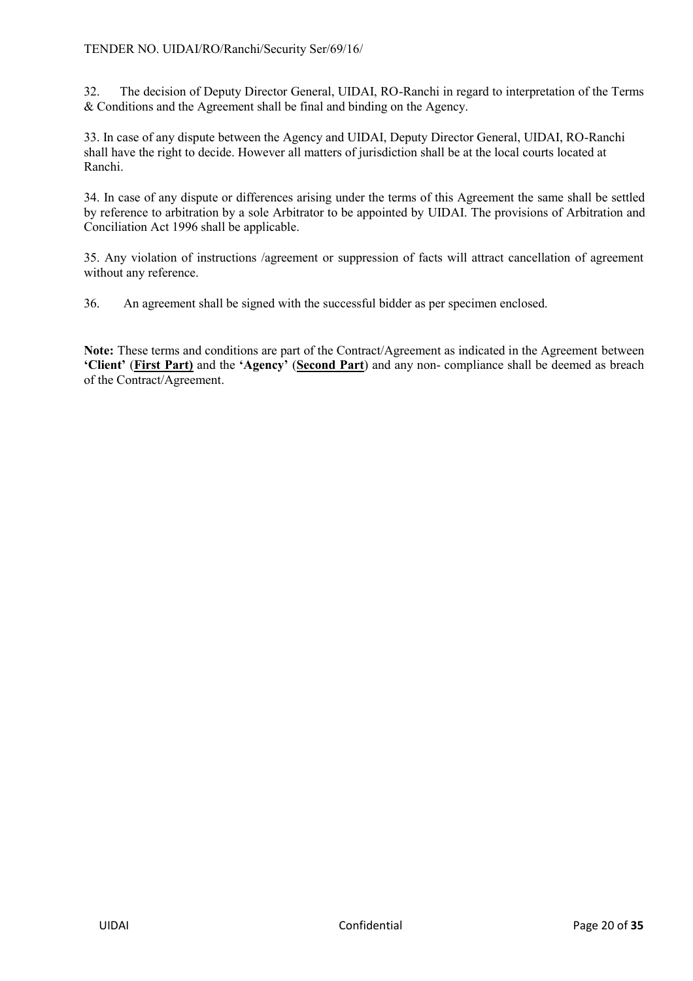32. The decision of Deputy Director General, UIDAI, RO-Ranchi in regard to interpretation of the Terms & Conditions and the Agreement shall be final and binding on the Agency.

33. In case of any dispute between the Agency and UIDAI, Deputy Director General, UIDAI, RO-Ranchi shall have the right to decide. However all matters of jurisdiction shall be at the local courts located at Ranchi.

34. In case of any dispute or differences arising under the terms of this Agreement the same shall be settled by reference to arbitration by a sole Arbitrator to be appointed by UIDAI. The provisions of Arbitration and Conciliation Act 1996 shall be applicable.

35. Any violation of instructions /agreement or suppression of facts will attract cancellation of agreement without any reference.

36. An agreement shall be signed with the successful bidder as per specimen enclosed.

**Note:** These terms and conditions are part of the Contract/Agreement as indicated in the Agreement between **'Client'** (**First Part)** and the **'Agency'** (**Second Part**) and any non- compliance shall be deemed as breach of the Contract/Agreement.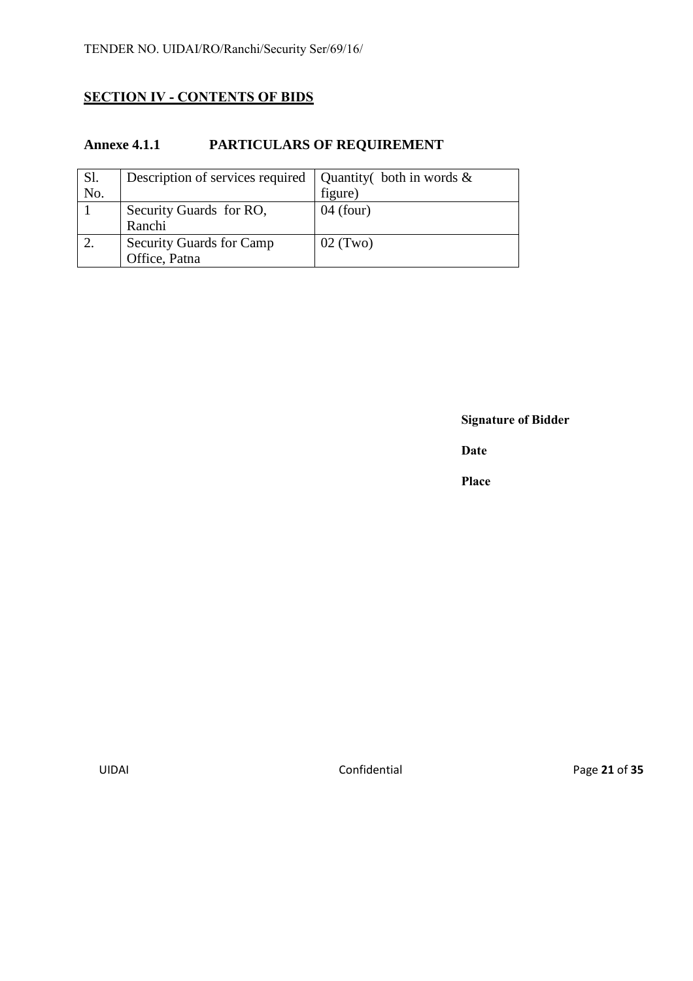# **SECTION IV - CONTENTS OF BIDS**

# **Annexe 4.1.1 PARTICULARS OF REQUIREMENT**

| Sl. | Description of services required | Quantity both in words $\&$ |
|-----|----------------------------------|-----------------------------|
| No. |                                  | figure)                     |
|     | Security Guards for RO,          | $04$ (four)                 |
|     | Ranchi                           |                             |
|     | <b>Security Guards for Camp</b>  | $02$ (Two)                  |
|     | Office, Patna                    |                             |

**Signature of Bidder**

**Date**

**Place**

UIDAI Confidential Page **21** of **35**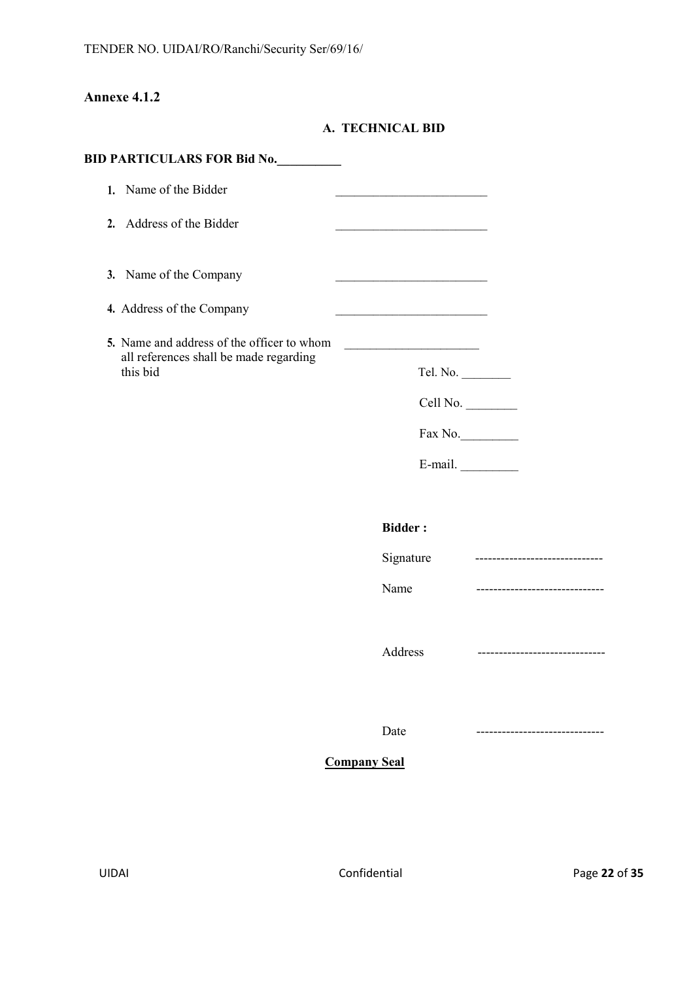# **Annexe 4.1.2**

**A. TECHNICAL BID**

| <b>BID PARTICULARS FOR Bid No.</b>                 |                     |                                |
|----------------------------------------------------|---------------------|--------------------------------|
| 1. Name of the Bidder                              |                     |                                |
| 2. Address of the Bidder                           |                     |                                |
| 3. Name of the Company                             |                     |                                |
| 4. Address of the Company                          |                     |                                |
| 5. Name and address of the officer to whom         |                     |                                |
| all references shall be made regarding<br>this bid | Tel. No.            |                                |
|                                                    |                     | Cell No.                       |
|                                                    |                     | Fax No.                        |
|                                                    |                     | E-mail. $\qquad \qquad$        |
|                                                    | <b>Bidder:</b>      |                                |
|                                                    | Signature           | ------------------------------ |
|                                                    | Name                | ------------------------------ |
|                                                    | Address             | ----------------------------   |
|                                                    | Date                |                                |
|                                                    | <b>Company Seal</b> |                                |
|                                                    |                     |                                |
|                                                    |                     |                                |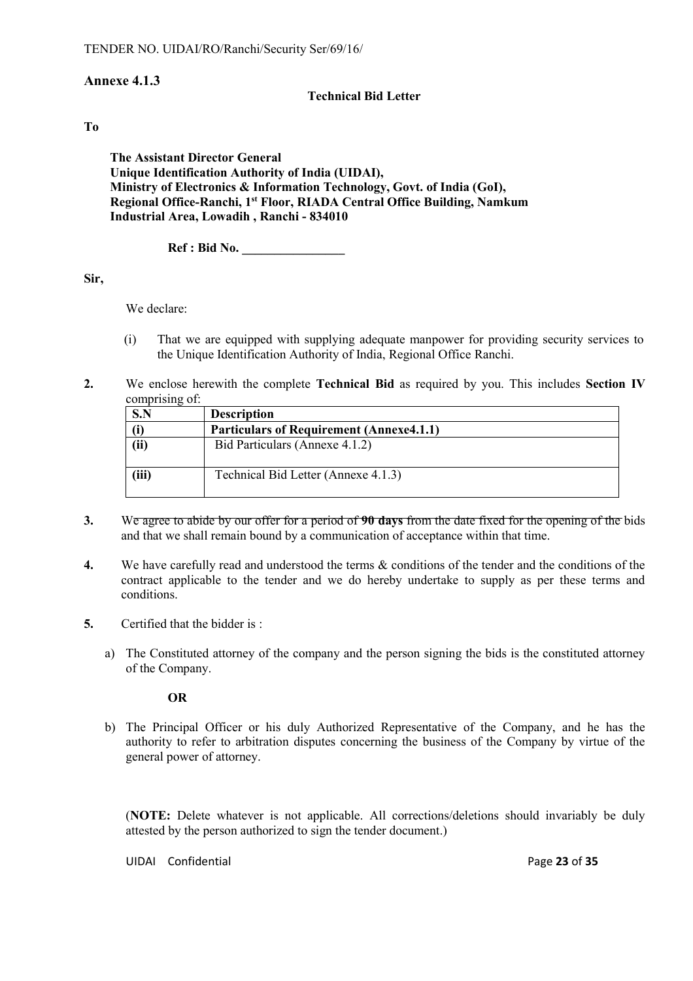# **Annexe 4.1.3**

#### **Technical Bid Letter**

#### **To**

**The Assistant Director General Unique Identification Authority of India (UIDAI), Ministry of Electronics & Information Technology, Govt. of India (GoI), Regional Office-Ranchi, 1st Floor, RIADA Central Office Building, Namkum Industrial Area, Lowadih , Ranchi - 834010** 

**Ref : Bid No. \_\_\_\_\_\_\_\_\_\_\_\_\_\_\_\_**

#### **Sir,**

We declare:

- (i) That we are equipped with supplying adequate manpower for providing security services to the Unique Identification Authority of India, Regional Office Ranchi.
- **2.** We enclose herewith the complete **Technical Bid** as required by you. This includes **Section IV** comprising of:

| S.N   | <b>Description</b>                              |
|-------|-------------------------------------------------|
|       | <b>Particulars of Requirement (Annexe4.1.1)</b> |
| (ii)  | Bid Particulars (Annexe 4.1.2)                  |
| (iii) | Technical Bid Letter (Annexe 4.1.3)             |

- **3.** We agree to abide by our offer for a period of **90 days** from the date fixed for the opening of the bids and that we shall remain bound by a communication of acceptance within that time.
- **4.** We have carefully read and understood the terms & conditions of the tender and the conditions of the contract applicable to the tender and we do hereby undertake to supply as per these terms and conditions.
- **5.** Certified that the bidder is :
	- a) The Constituted attorney of the company and the person signing the bids is the constituted attorney of the Company.

#### **OR**

b) The Principal Officer or his duly Authorized Representative of the Company, and he has the authority to refer to arbitration disputes concerning the business of the Company by virtue of the general power of attorney.

(**NOTE:** Delete whatever is not applicable. All corrections/deletions should invariably be duly attested by the person authorized to sign the tender document.)

UIDAI Confidential **Page 23** of **35**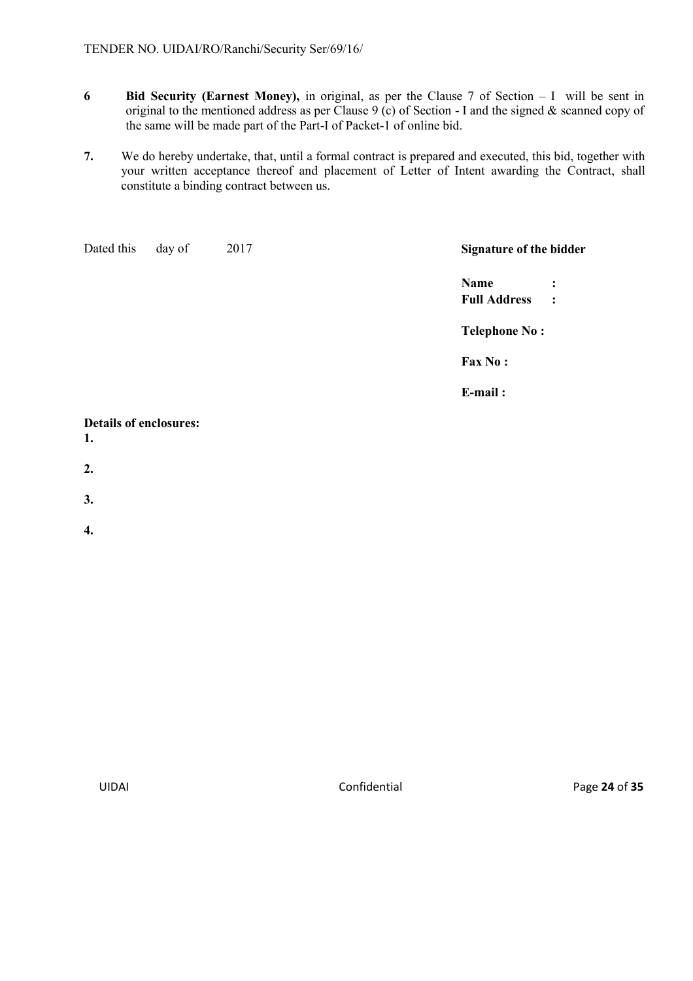- **6 Bid Security (Earnest Money),** in original, as per the Clause 7 of Section I will be sent in original to the mentioned address as per Clause 9 (c) of Section - I and the signed & scanned copy of the same will be made part of the Part-I of Packet-1 of online bid.
- **7.** We do hereby undertake, that, until a formal contract is prepared and executed, this bid, together with your written acceptance thereof and placement of Letter of Intent awarding the Contract, shall constitute a binding contract between us.

| Dated this                          | day of | 2017 | <b>Signature of the bidder</b>   |
|-------------------------------------|--------|------|----------------------------------|
|                                     |        |      | Name<br>$\ddot{\cdot}$           |
|                                     |        |      | <b>Full Address</b><br>$\cdot$ : |
|                                     |        |      | <b>Telephone No:</b>             |
|                                     |        |      | Fax No:                          |
|                                     |        |      | E-mail:                          |
| <b>Details of enclosures:</b><br>1. |        |      |                                  |

- **2.**
- **3.**
- **4.**

UIDAI Confidential Page **24** of **35**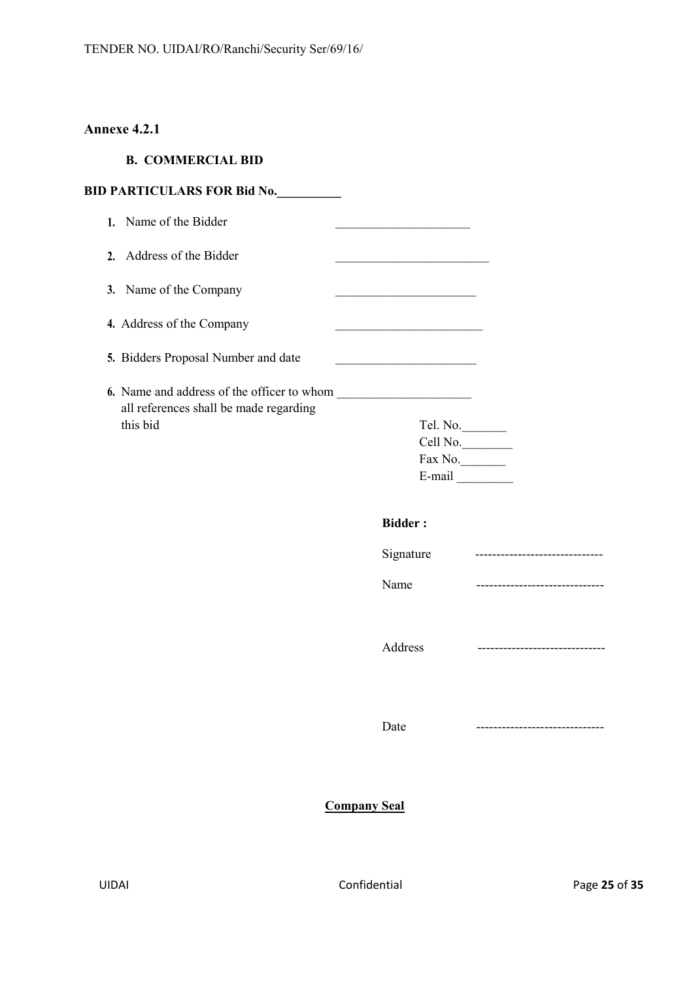# **Annexe 4.2.1**

# **B. COMMERCIAL BID**

|    | <b>BID PARTICULARS FOR Bid No.</b>                                                   |                                                           |                                 |
|----|--------------------------------------------------------------------------------------|-----------------------------------------------------------|---------------------------------|
|    | 1. Name of the Bidder                                                                |                                                           |                                 |
|    | 2. Address of the Bidder                                                             |                                                           |                                 |
| 3. | Name of the Company                                                                  |                                                           |                                 |
|    | 4. Address of the Company                                                            | <u> 1989 - Johann John Stone, mensk politik (d. 1989)</u> |                                 |
|    | 5. Bidders Proposal Number and date                                                  |                                                           |                                 |
|    | 6. Name and address of the officer to whom<br>all references shall be made regarding |                                                           |                                 |
|    | this bid                                                                             | Tel. No.                                                  |                                 |
|    |                                                                                      | Cell No.                                                  |                                 |
|    |                                                                                      | $\text{Fax No.}$                                          |                                 |
|    |                                                                                      | $E$ -mail $\_\_$                                          |                                 |
|    |                                                                                      | <b>Bidder:</b>                                            |                                 |
|    |                                                                                      | Signature                                                 | ------------------------------- |
|    |                                                                                      | Name                                                      | ------------------------------  |
|    |                                                                                      | Address                                                   | ----------------------------    |
|    |                                                                                      | Date                                                      |                                 |
|    |                                                                                      | <b>Company Seal</b>                                       |                                 |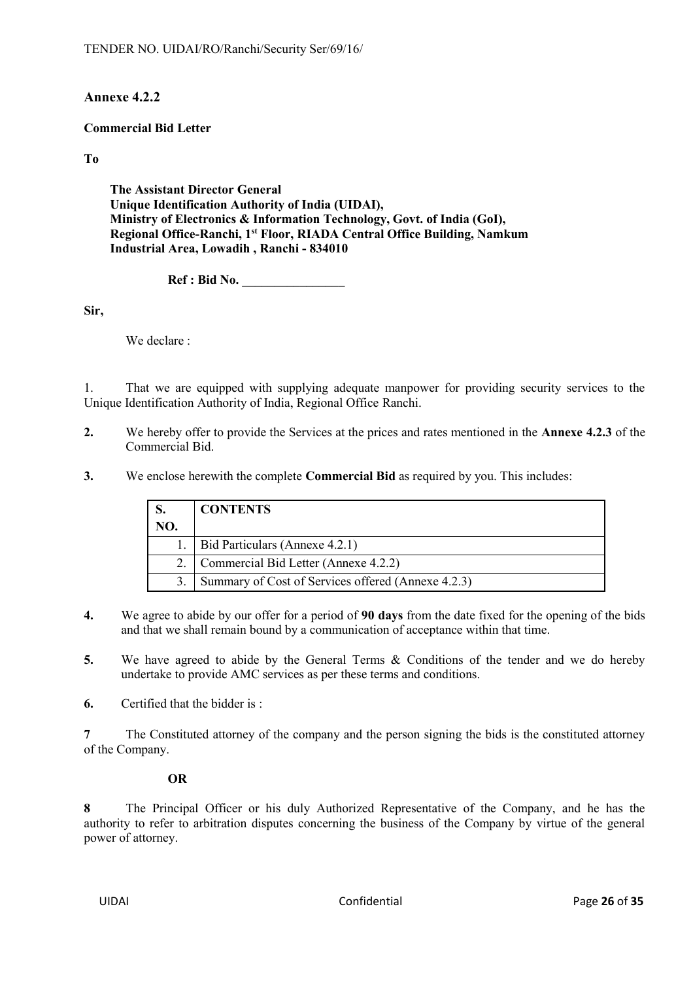# **Annexe 4.2.2**

#### **Commercial Bid Letter**

**To**

**The Assistant Director General Unique Identification Authority of India (UIDAI), Ministry of Electronics & Information Technology, Govt. of India (GoI), Regional Office-Ranchi, 1st Floor, RIADA Central Office Building, Namkum Industrial Area, Lowadih , Ranchi - 834010** 

**Ref : Bid No. \_\_\_\_\_\_\_\_\_\_\_\_\_\_\_\_**

**Sir,**

We declare :

1. That we are equipped with supplying adequate manpower for providing security services to the Unique Identification Authority of India, Regional Office Ranchi.

- **2.** We hereby offer to provide the Services at the prices and rates mentioned in the **Annexe 4.2.3** of the Commercial Bid.
- **3.** We enclose herewith the complete **Commercial Bid** as required by you. This includes:

|     | <b>CONTENTS</b>                                    |
|-----|----------------------------------------------------|
| NO. |                                                    |
|     | Bid Particulars (Annexe 4.2.1)                     |
|     | Commercial Bid Letter (Annexe 4.2.2)               |
|     | Summary of Cost of Services offered (Annexe 4.2.3) |

- **4.** We agree to abide by our offer for a period of **90 days** from the date fixed for the opening of the bids and that we shall remain bound by a communication of acceptance within that time.
- **5.** We have agreed to abide by the General Terms & Conditions of the tender and we do hereby undertake to provide AMC services as per these terms and conditions.
- **6.** Certified that the bidder is :

**7** The Constituted attorney of the company and the person signing the bids is the constituted attorney of the Company.

#### **OR**

**8** The Principal Officer or his duly Authorized Representative of the Company, and he has the authority to refer to arbitration disputes concerning the business of the Company by virtue of the general power of attorney.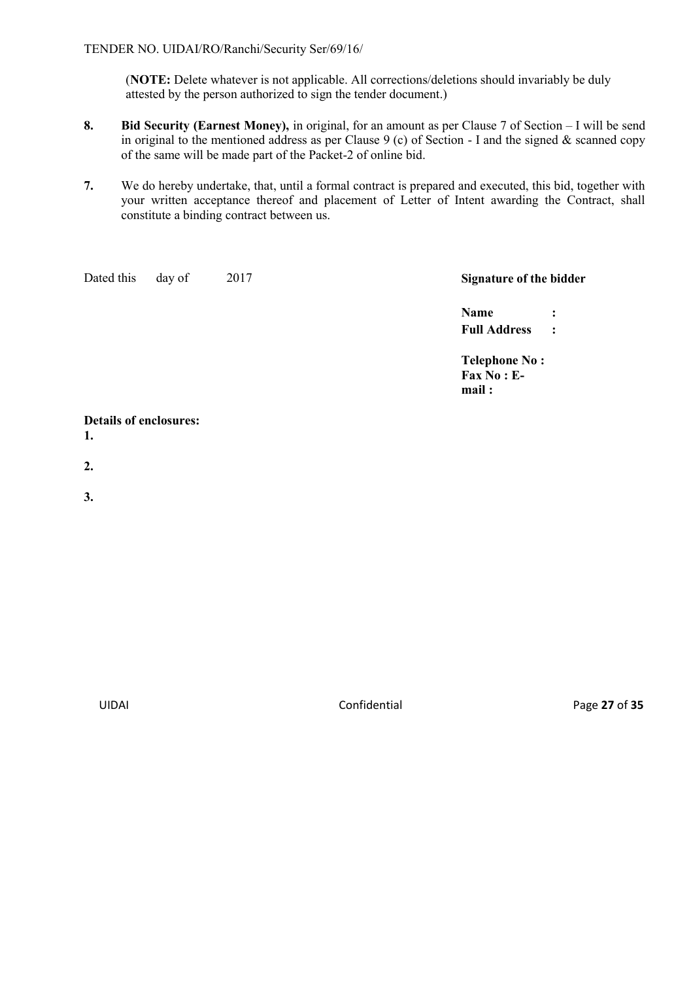(**NOTE:** Delete whatever is not applicable. All corrections/deletions should invariably be duly attested by the person authorized to sign the tender document.)

- **8. Bid Security (Earnest Money),** in original, for an amount as per Clause 7 of Section I will be send in original to the mentioned address as per Clause 9 (c) of Section - I and the signed  $\&$  scanned copy of the same will be made part of the Packet-2 of online bid.
- **7.** We do hereby undertake, that, until a formal contract is prepared and executed, this bid, together with your written acceptance thereof and placement of Letter of Intent awarding the Contract, shall constitute a binding contract between us.

| Dated this                          | day of<br>2017 | Signature of the bidder                                 |                                  |
|-------------------------------------|----------------|---------------------------------------------------------|----------------------------------|
|                                     |                | Name<br><b>Full Address</b>                             | $\ddot{\cdot}$<br>$\ddot{\cdot}$ |
|                                     |                | <b>Telephone No:</b><br>$\text{Fax No : } E$ -<br>mail: |                                  |
| <b>Details of enclosures:</b><br>1. |                |                                                         |                                  |
| 2.                                  |                |                                                         |                                  |
| 3.                                  |                |                                                         |                                  |

UIDAI Confidential Page **27** of **35**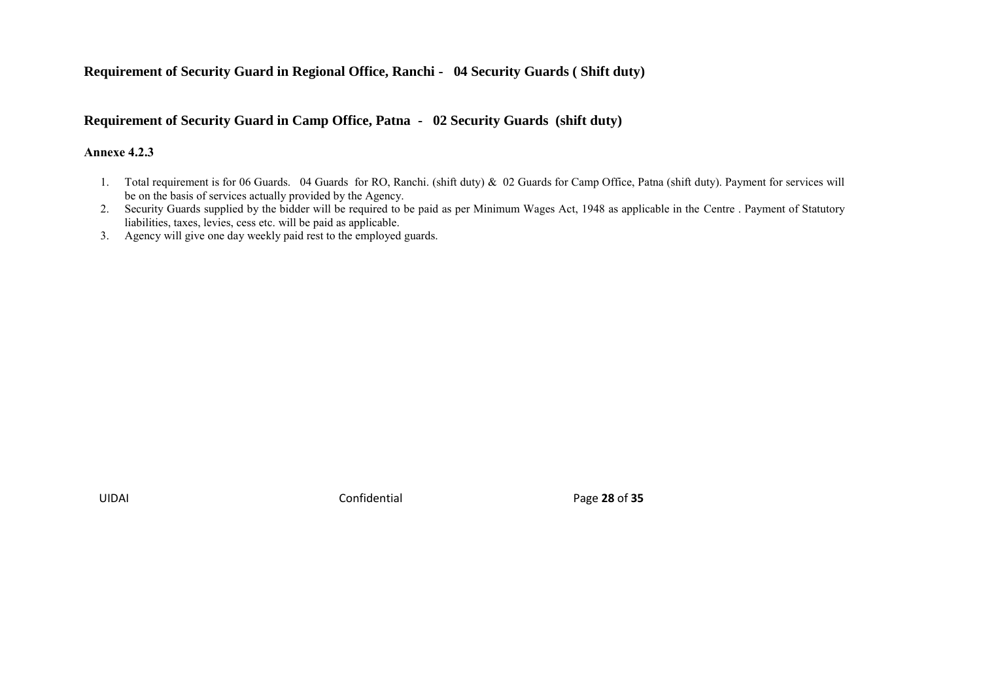# **Requirement of Security Guard in Regional Office, Ranchi - 04 Security Guards ( Shift duty)**

#### **Requirement of Security Guard in Camp Office, Patna - 02 Security Guards (shift duty)**

#### **Annexe 4.2.3**

- 1. Total requirement is for 06 Guards. 04 Guards for RO, Ranchi. (shift duty) & 02 Guards for Camp Office, Patna (shift duty). Payment for services will be on the basis of services actually provided by the Agency.
- 2. Security Guards supplied by the bidder will be required to be paid as per Minimum Wages Act, 1948 as applicable in the Centre . Payment of Statutory liabilities, taxes, levies, cess etc. will be paid as applicable.
- 3. Agency will give one day weekly paid rest to the employed guards.

UIDAI Confidential Page **28** of **35**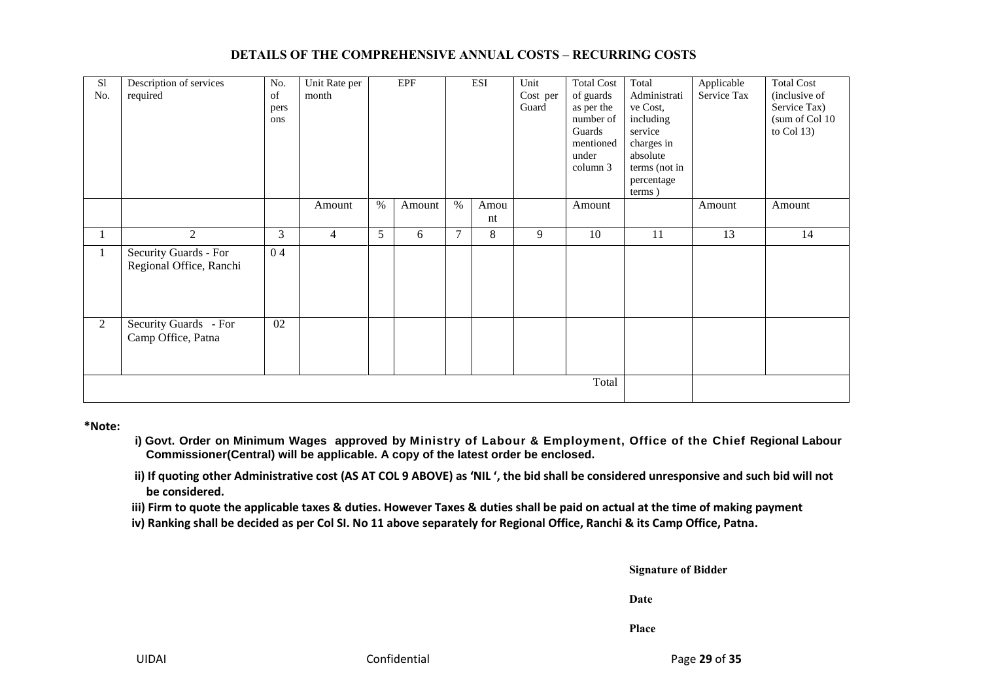#### **DETAILS OF THE COMPREHENSIVE ANNUAL COSTS – RECURRING COSTS**

| S1<br>No. | Description of services<br>required              | No.<br>of<br>pers<br>ons | Unit Rate per<br>month |      | <b>EPF</b> |        | <b>ESI</b> | Unit<br>Cost per<br>Guard | <b>Total Cost</b><br>of guards<br>as per the<br>number of<br>Guards<br>mentioned<br>under<br>column 3 | Total<br>Administrati<br>ve Cost,<br>including<br>service<br>charges in<br>absolute<br>terms (not in<br>percentage<br>terms) | Applicable<br>Service Tax | <b>Total Cost</b><br>(inclusive of<br>Service Tax)<br>(sum of Col 10<br>to Col $13$ ) |
|-----------|--------------------------------------------------|--------------------------|------------------------|------|------------|--------|------------|---------------------------|-------------------------------------------------------------------------------------------------------|------------------------------------------------------------------------------------------------------------------------------|---------------------------|---------------------------------------------------------------------------------------|
|           |                                                  |                          | Amount                 | $\%$ | Amount     | $\%$   | Amou<br>nt |                           | Amount                                                                                                |                                                                                                                              | Amount                    | Amount                                                                                |
|           | 2                                                | 3                        | $\overline{4}$         | 5    | 6          | $\tau$ | 8          | 9                         | 10                                                                                                    | 11                                                                                                                           | 13                        | 14                                                                                    |
| 1         | Security Guards - For<br>Regional Office, Ranchi | 04                       |                        |      |            |        |            |                           |                                                                                                       |                                                                                                                              |                           |                                                                                       |
| 2         | Security Guards - For<br>Camp Office, Patna      | 02                       |                        |      |            |        |            |                           |                                                                                                       |                                                                                                                              |                           |                                                                                       |
| Total     |                                                  |                          |                        |      |            |        |            |                           |                                                                                                       |                                                                                                                              |                           |                                                                                       |

**\*Note:**

- **i) Govt. Order on Minimum Wages approved by Ministry of Labour & Employment, Office of the Chief Regional Labour Commissioner(Central) will be applicable. A copy of the latest order be enclosed.**
- **ii) If quoting other Administrative cost (AS AT COL 9 ABOVE) as 'NIL ', the bid shall be considered unresponsive and such bid will not be considered.**
- **iii) Firm to quote the applicable taxes & duties. However Taxes & duties shall be paid on actual at the time of making payment**
- **iv) Ranking shall be decided as per Col SI. No 11 above separately for Regional Office, Ranchi & its Camp Office, Patna.**

**Signature of Bidder**

**Date**

**Place**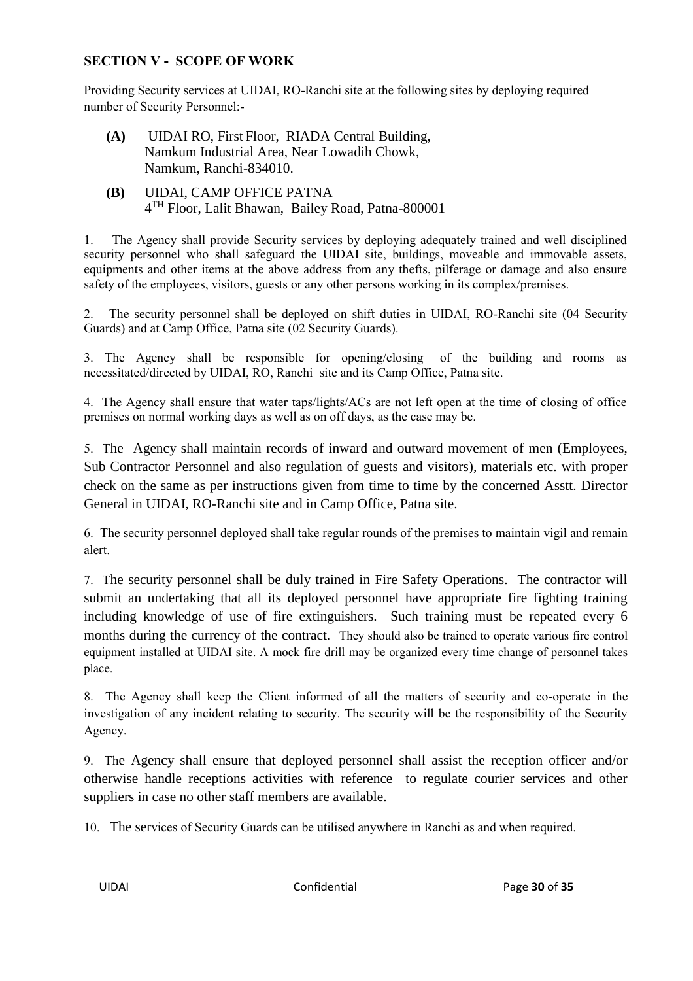# **SECTION V - SCOPE OF WORK**

Providing Security services at UIDAI, RO-Ranchi site at the following sites by deploying required number of Security Personnel:-

- **(A)** UIDAI RO, First Floor, RIADA Central Building, Namkum Industrial Area, Near Lowadih Chowk, Namkum, Ranchi-834010.
- **(B)** UIDAI, CAMP OFFICE PATNA 4 TH Floor, Lalit Bhawan, Bailey Road, Patna-800001

1. The Agency shall provide Security services by deploying adequately trained and well disciplined security personnel who shall safeguard the UIDAI site, buildings, moveable and immovable assets, equipments and other items at the above address from any thefts, pilferage or damage and also ensure safety of the employees, visitors, guests or any other persons working in its complex/premises.

2. The security personnel shall be deployed on shift duties in UIDAI, RO-Ranchi site (04 Security Guards) and at Camp Office, Patna site (02 Security Guards).

3. The Agency shall be responsible for opening/closing of the building and rooms as necessitated/directed by UIDAI, RO, Ranchi site and its Camp Office, Patna site.

4. The Agency shall ensure that water taps/lights/ACs are not left open at the time of closing of office premises on normal working days as well as on off days, as the case may be.

5. The Agency shall maintain records of inward and outward movement of men (Employees, Sub Contractor Personnel and also regulation of guests and visitors), materials etc. with proper check on the same as per instructions given from time to time by the concerned Asstt. Director General in UIDAI, RO-Ranchi site and in Camp Office, Patna site.

6. The security personnel deployed shall take regular rounds of the premises to maintain vigil and remain alert.

7. The security personnel shall be duly trained in Fire Safety Operations. The contractor will submit an undertaking that all its deployed personnel have appropriate fire fighting training including knowledge of use of fire extinguishers. Such training must be repeated every 6 months during the currency of the contract. They should also be trained to operate various fire control equipment installed at UIDAI site. A mock fire drill may be organized every time change of personnel takes place.

8. The Agency shall keep the Client informed of all the matters of security and co-operate in the investigation of any incident relating to security. The security will be the responsibility of the Security Agency.

9. The Agency shall ensure that deployed personnel shall assist the reception officer and/or otherwise handle receptions activities with reference to regulate courier services and other suppliers in case no other staff members are available.

10. The services of Security Guards can be utilised anywhere in Ranchi as and when required.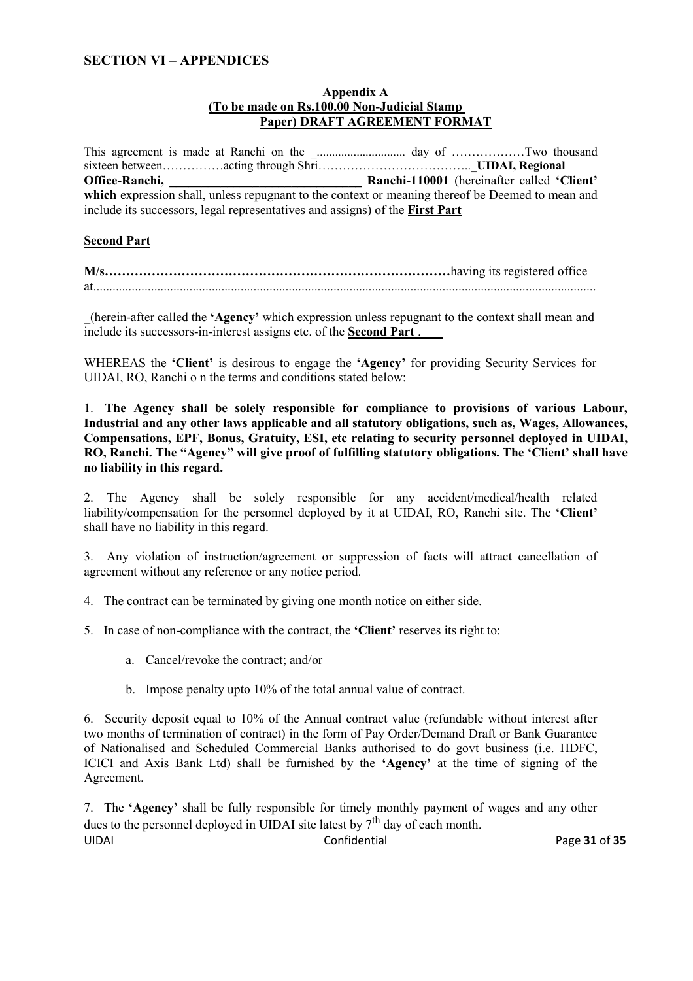# **SECTION VI – APPENDICES**

#### **Appendix A (To be made on Rs.100.00 Non-Judicial Stamp Paper) DRAFT AGREEMENT FORMAT**

This agreement is made at Ranchi on the \_............................. day of ………………Two thousand sixteen between……………acting through Shri………………………………..\_**UIDAI, Regional Office-Ranchi, \_\_\_\_\_\_\_\_\_\_\_\_\_\_\_\_\_\_\_\_\_\_\_\_\_\_\_\_\_\_ Ranchi-110001** (hereinafter called **'Client'**  which expression shall, unless repugnant to the context or meaning thereof be Deemed to mean and include its successors, legal representatives and assigns) of the **First Part**

#### **Second Part**

**M/s………………………………………………………………………**having its registered office at.............................................................................................................................................................

\_(herein-after called the **'Agency'** which expression unless repugnant to the context shall mean and include its successors-in-interest assigns etc. of the **Second Part** .

WHEREAS the **'Client'** is desirous to engage the **'Agency'** for providing Security Services for UIDAI, RO, Ranchi o n the terms and conditions stated below:

1. **The Agency shall be solely responsible for compliance to provisions of various Labour, Industrial and any other laws applicable and all statutory obligations, such as, Wages, Allowances, Compensations, EPF, Bonus, Gratuity, ESI, etc relating to security personnel deployed in UIDAI, RO, Ranchi. The "Agency" will give proof of fulfilling statutory obligations. The 'Client' shall have no liability in this regard.**

2. The Agency shall be solely responsible for any accident/medical/health related liability/compensation for the personnel deployed by it at UIDAI, RO, Ranchi site. The **'Client'** shall have no liability in this regard.

3. Any violation of instruction/agreement or suppression of facts will attract cancellation of agreement without any reference or any notice period.

4. The contract can be terminated by giving one month notice on either side.

5. In case of non-compliance with the contract, the **'Client'** reserves its right to:

- a. Cancel/revoke the contract; and/or
- b. Impose penalty upto 10% of the total annual value of contract.

6. Security deposit equal to 10% of the Annual contract value (refundable without interest after two months of termination of contract) in the form of Pay Order/Demand Draft or Bank Guarantee of Nationalised and Scheduled Commercial Banks authorised to do govt business (i.e. HDFC, ICICI and Axis Bank Ltd) shall be furnished by the **'Agency'** at the time of signing of the Agreement.

7. The **'Agency'** shall be fully responsible for timely monthly payment of wages and any other dues to the personnel deployed in UIDAI site latest by  $7<sup>th</sup>$  day of each month. UIDAI Confidential Page **31** of **35**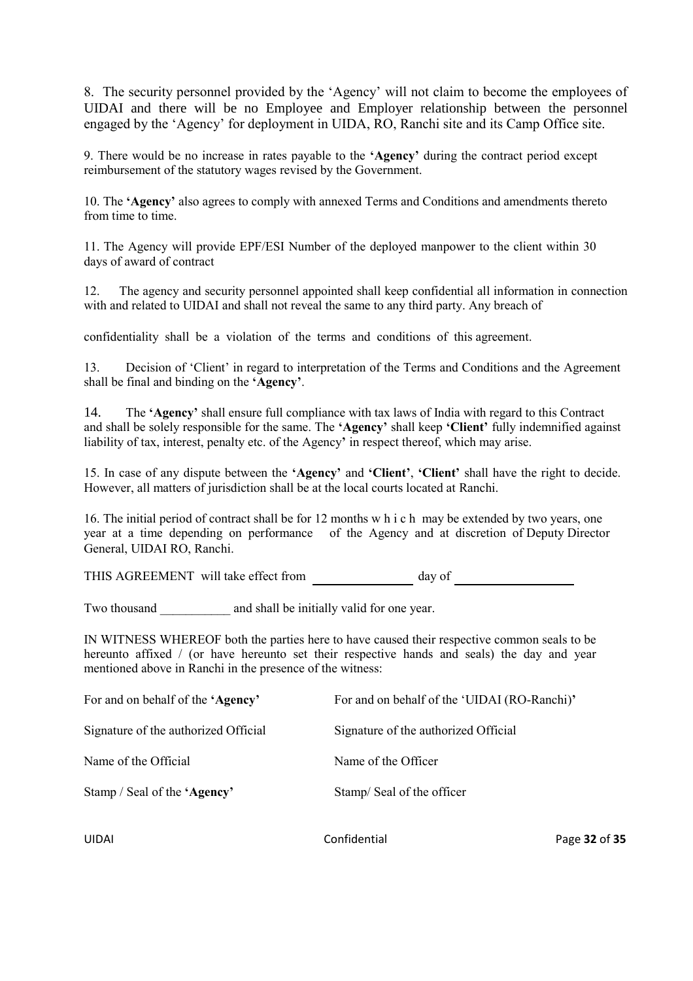8. The security personnel provided by the 'Agency' will not claim to become the employees of UIDAI and there will be no Employee and Employer relationship between the personnel engaged by the 'Agency' for deployment in UIDA, RO, Ranchi site and its Camp Office site.

9. There would be no increase in rates payable to the **'Agency'** during the contract period except reimbursement of the statutory wages revised by the Government.

10. The **'Agency'** also agrees to comply with annexed Terms and Conditions and amendments thereto from time to time.

11. The Agency will provide EPF/ESI Number of the deployed manpower to the client within 30 days of award of contract

12. The agency and security personnel appointed shall keep confidential all information in connection with and related to UIDAI and shall not reveal the same to any third party. Any breach of

confidentiality shall be a violation of the terms and conditions of this agreement.

13. Decision of 'Client' in regard to interpretation of the Terms and Conditions and the Agreement shall be final and binding on the **'Agency'**.

14. The **'Agency'** shall ensure full compliance with tax laws of India with regard to this Contract and shall be solely responsible for the same. The **'Agency'** shall keep **'Client'** fully indemnified against liability of tax, interest, penalty etc. of the Agency**'** in respect thereof, which may arise.

15. In case of any dispute between the **'Agency'** and **'Client'**, **'Client'** shall have the right to decide. However, all matters of jurisdiction shall be at the local courts located at Ranchi.

16. The initial period of contract shall be for 12 months w h i c h may be extended by two years, one year at a time depending on performance of the Agency and at discretion of Deputy Director General, UIDAI RO, Ranchi.

THIS AGREEMENT will take effect from day of

Two thousand and shall be initially valid for one year.

IN WITNESS WHEREOF both the parties here to have caused their respective common seals to be hereunto affixed / (or have hereunto set their respective hands and seals) the day and year mentioned above in Ranchi in the presence of the witness:

| For and on behalf of the 'Agency'    | For and on behalf of the 'UIDAI (RO-Ranchi)' |
|--------------------------------------|----------------------------------------------|
| Signature of the authorized Official | Signature of the authorized Official         |
| Name of the Official                 | Name of the Officer                          |
| Stamp / Seal of the 'Agency'         | Stamp/Seal of the officer                    |
|                                      |                                              |

UIDAI Confidential Page **32** of **35**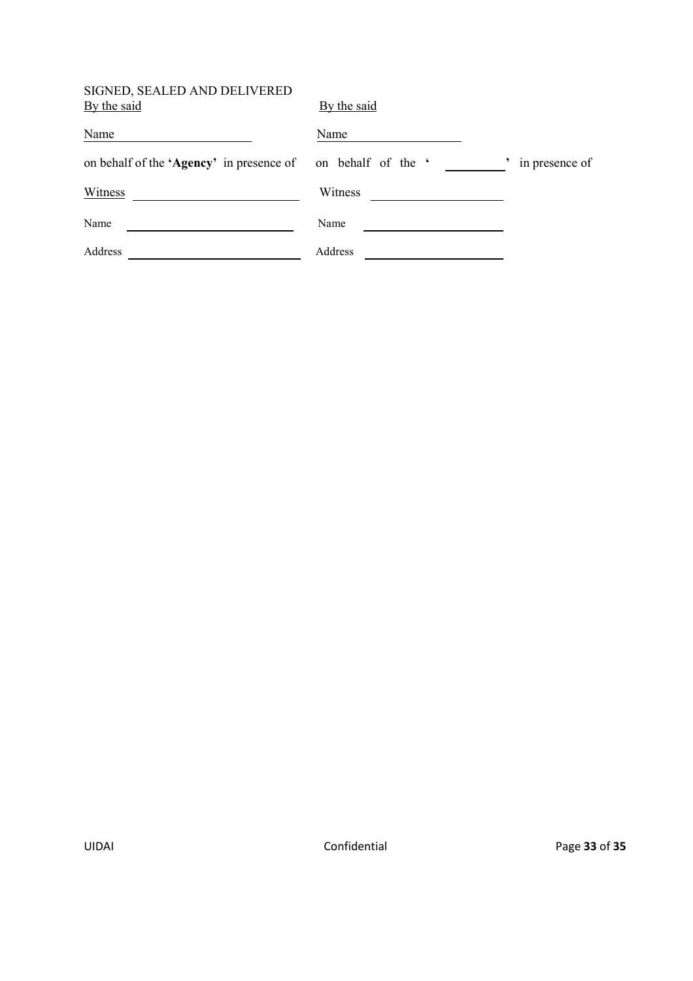# SIGNED, SEALED AND DELIVERED

| SIGNED, SEALED AND DELIVERED<br>By the said | By the said        |                |
|---------------------------------------------|--------------------|----------------|
| Name                                        | Name               |                |
| on behalf of the 'Agency' in presence of    | on behalf of the ' | in presence of |
| Witness                                     | Witness            |                |
| Name                                        | Name               |                |
| Address                                     | Address            |                |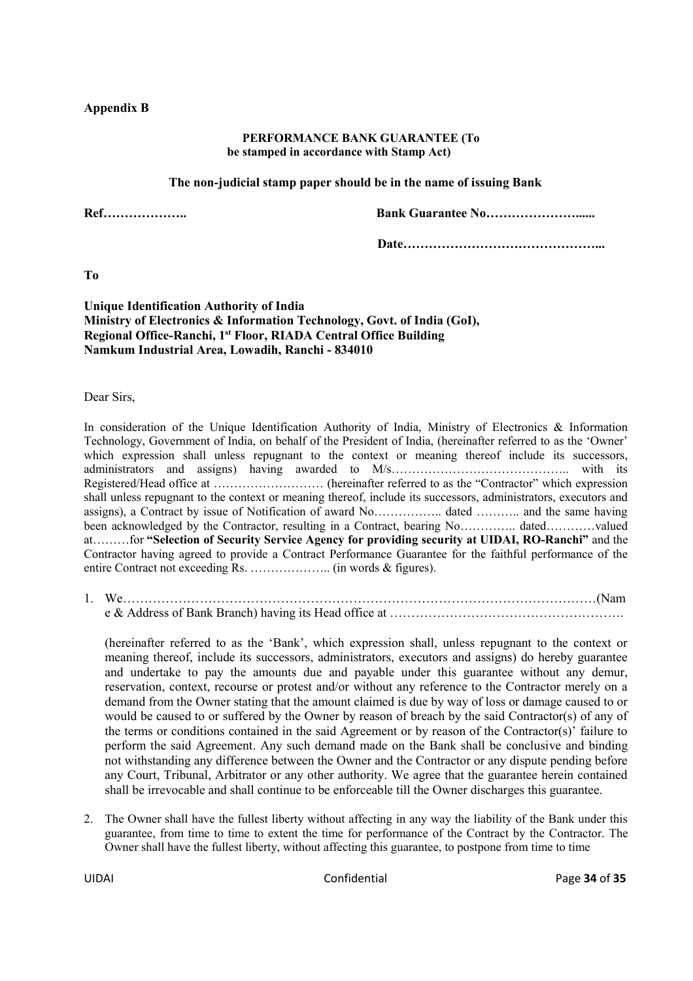#### **Appendix B**

#### **PERFORMANCE BANK GUARANTEE (To be stamped in accordance with Stamp Act)**

#### **The non-judicial stamp paper should be in the name of issuing Bank**

**Ref……………….. Bank Guarantee No…………………......**

**Date………………………………………...**

**To**

#### **Unique Identification Authority of India Ministry of Electronics & Information Technology, Govt. of India (GoI), Regional Office-Ranchi, 1 st Floor, RIADA Central Office Building Namkum Industrial Area, Lowadih, Ranchi - 834010**

Dear Sirs,

In consideration of the Unique Identification Authority of India, Ministry of Electronics & Information Technology, Government of India, on behalf of the President of India, (hereinafter referred to as the 'Owner' which expression shall unless repugnant to the context or meaning thereof include its successors, administrators and assigns) having awarded to M/s…………………………………….. with its Registered/Head office at ……………………… (hereinafter referred to as the "Contractor" which expression shall unless repugnant to the context or meaning thereof, include its successors, administrators, executors and assigns), a Contract by issue of Notification of award No…………….. dated ……….. and the same having been acknowledged by the Contractor, resulting in a Contract, bearing No………….. dated…………valued at………for **"Selection of Security Service Agency for providing security at UIDAI, RO-Ranchi"** and the Contractor having agreed to provide a Contract Performance Guarantee for the faithful performance of the entire Contract not exceeding Rs. ……………….. (in words & figures).

1. We…………………………………………………………………………………………………(Nam e & Address of Bank Branch) having its Head office at ……………………………………………….

(hereinafter referred to as the 'Bank', which expression shall, unless repugnant to the context or meaning thereof, include its successors, administrators, executors and assigns) do hereby guarantee and undertake to pay the amounts due and payable under this guarantee without any demur, reservation, context, recourse or protest and/or without any reference to the Contractor merely on a demand from the Owner stating that the amount claimed is due by way of loss or damage caused to or would be caused to or suffered by the Owner by reason of breach by the said Contractor(s) of any of the terms or conditions contained in the said Agreement or by reason of the Contractor(s)' failure to perform the said Agreement. Any such demand made on the Bank shall be conclusive and binding not withstanding any difference between the Owner and the Contractor or any dispute pending before any Court, Tribunal, Arbitrator or any other authority. We agree that the guarantee herein contained shall be irrevocable and shall continue to be enforceable till the Owner discharges this guarantee.

2. The Owner shall have the fullest liberty without affecting in any way the liability of the Bank under this guarantee, from time to time to extent the time for performance of the Contract by the Contractor. The Owner shall have the fullest liberty, without affecting this guarantee, to postpone from time to time